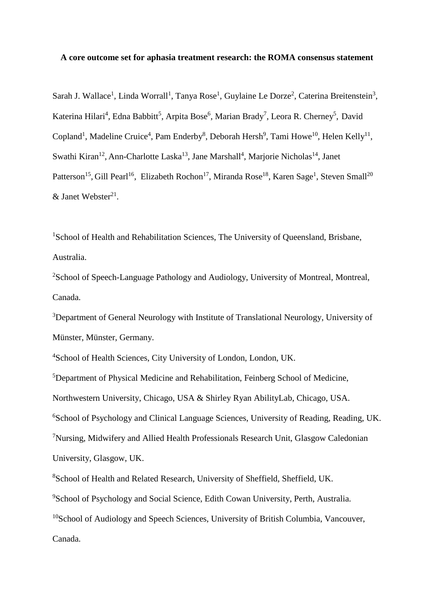#### **A core outcome set for aphasia treatment research: the ROMA consensus statement**

Sarah J. Wallace<sup>1</sup>, Linda Worrall<sup>1</sup>, Tanya Rose<sup>1</sup>, Guylaine Le Dorze<sup>2</sup>, Caterina Breitenstein<sup>3</sup>, Katerina Hilari<sup>4</sup>, Edna Babbitt<sup>5</sup>, Arpita Bose<sup>6</sup>, Marian Brady<sup>7</sup>, Leora R. Cherney<sup>5</sup>, David Copland<sup>1</sup>, Madeline Cruice<sup>4</sup>, Pam Enderby<sup>8</sup>, Deborah Hersh<sup>9</sup>, Tami Howe<sup>10</sup>, Helen Kelly<sup>11</sup>, Swathi Kiran<sup>12</sup>, Ann-Charlotte Laska<sup>13</sup>, Jane Marshall<sup>4</sup>, Marjorie Nicholas<sup>14</sup>, Janet Patterson<sup>15</sup>, Gill Pearl<sup>16</sup>, Elizabeth Rochon<sup>17</sup>, Miranda Rose<sup>18</sup>, Karen Sage<sup>1</sup>, Steven Small<sup>20</sup>  $&$  Janet Webster<sup>21</sup>.

<sup>1</sup>School of Health and Rehabilitation Sciences, The University of Queensland, Brisbane, Australia.

<sup>2</sup>School of Speech-Language Pathology and Audiology, University of Montreal, Montreal, Canada.

<sup>3</sup>Department of General Neurology with Institute of Translational Neurology, University of Münster, Münster, Germany.

<sup>4</sup>School of Health Sciences, City University of London, London, UK.

<sup>5</sup>Department of Physical Medicine and Rehabilitation, Feinberg School of Medicine, Northwestern University, Chicago, USA & Shirley Ryan AbilityLab, Chicago, USA. <sup>6</sup>School of Psychology and Clinical Language Sciences, University of Reading, Reading, UK. <sup>7</sup>Nursing, Midwifery and Allied Health Professionals Research Unit, Glasgow Caledonian University, Glasgow, UK.

<sup>8</sup>School of Health and Related Research, University of Sheffield, Sheffield, UK.

<sup>9</sup>School of Psychology and Social Science, Edith Cowan University, Perth, Australia.

<sup>10</sup>School of Audiology and Speech Sciences, University of British Columbia, Vancouver,

Canada.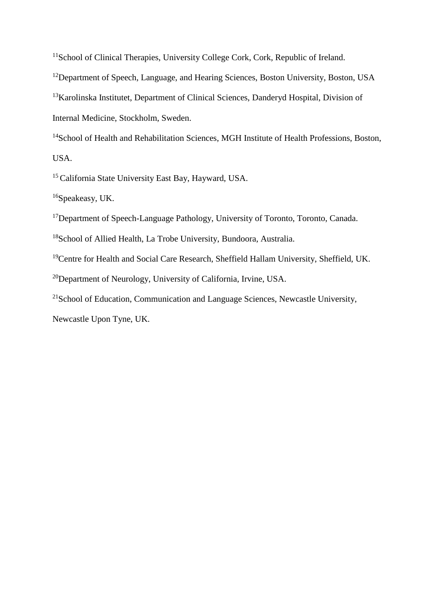<sup>11</sup>School of Clinical Therapies, University College Cork, Cork, Republic of Ireland.

<sup>12</sup>Department of Speech, Language, and Hearing Sciences, Boston University, Boston, USA

<sup>13</sup>Karolinska Institutet, Department of Clinical Sciences, Danderyd Hospital, Division of Internal Medicine, Stockholm, Sweden.

<sup>14</sup>School of Health and Rehabilitation Sciences, MGH Institute of Health Professions, Boston, USA.

<sup>15</sup> California State University East Bay, Hayward, USA.

<sup>16</sup>Speakeasy, UK.

<sup>17</sup>Department of Speech-Language Pathology, University of Toronto, Toronto, Canada.

<sup>18</sup>School of Allied Health, La Trobe University, Bundoora, Australia.

<sup>19</sup>Centre for Health and Social Care Research, Sheffield Hallam University, Sheffield, UK.

<sup>20</sup>Department of Neurology, University of California, Irvine, USA.

 $21$ School of Education, Communication and Language Sciences, Newcastle University,

Newcastle Upon Tyne, UK.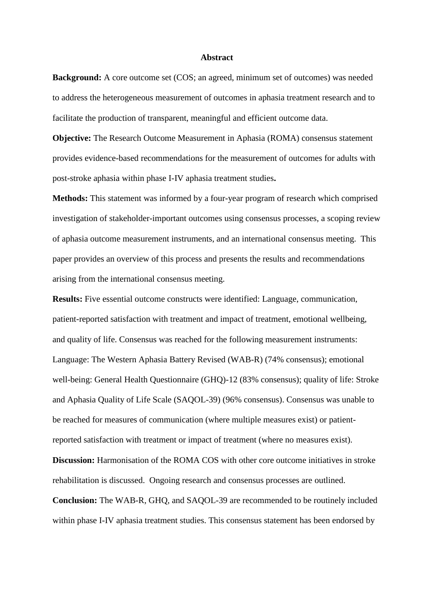#### **Abstract**

**Background:** A core outcome set (COS; an agreed, minimum set of outcomes) was needed to address the heterogeneous measurement of outcomes in aphasia treatment research and to facilitate the production of transparent, meaningful and efficient outcome data.

**Objective:** The Research Outcome Measurement in Aphasia (ROMA) consensus statement provides evidence-based recommendations for the measurement of outcomes for adults with post-stroke aphasia within phase I-IV aphasia treatment studies**.**

**Methods:** This statement was informed by a four-year program of research which comprised investigation of stakeholder-important outcomes using consensus processes, a scoping review of aphasia outcome measurement instruments, and an international consensus meeting. This paper provides an overview of this process and presents the results and recommendations arising from the international consensus meeting.

**Results:** Five essential outcome constructs were identified: Language, communication, patient-reported satisfaction with treatment and impact of treatment, emotional wellbeing, and quality of life. Consensus was reached for the following measurement instruments: Language: The Western Aphasia Battery Revised (WAB-R) (74% consensus); emotional well-being: General Health Questionnaire (GHQ)-12 (83% consensus); quality of life: Stroke and Aphasia Quality of Life Scale (SAQOL-39) (96% consensus). Consensus was unable to be reached for measures of communication (where multiple measures exist) or patientreported satisfaction with treatment or impact of treatment (where no measures exist)*.*  **Discussion:** Harmonisation of the ROMA COS with other core outcome initiatives in stroke rehabilitation is discussed. Ongoing research and consensus processes are outlined. **Conclusion:** The WAB-R, GHQ, and SAQOL-39 are recommended to be routinely included within phase I-IV aphasia treatment studies. This consensus statement has been endorsed by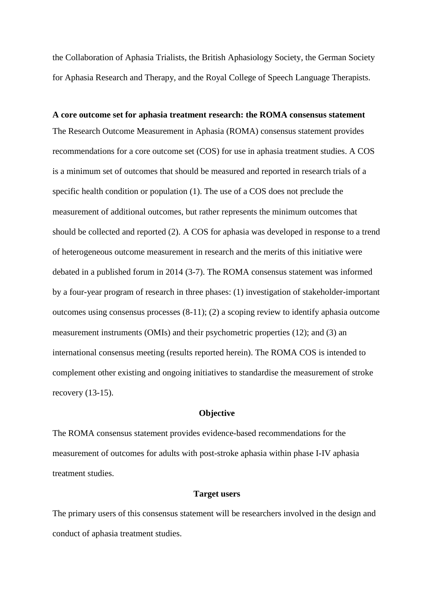the Collaboration of Aphasia Trialists, the British Aphasiology Society, the German Society for Aphasia Research and Therapy, and the Royal College of Speech Language Therapists.

**A core outcome set for aphasia treatment research: the ROMA consensus statement** The Research Outcome Measurement in Aphasia (ROMA) consensus statement provides recommendations for a core outcome set (COS) for use in aphasia treatment studies. A COS is a minimum set of outcomes that should be measured and reported in research trials of a specific health condition or population (1). The use of a COS does not preclude the measurement of additional outcomes, but rather represents the minimum outcomes that should be collected and reported (2). A COS for aphasia was developed in response to a trend of heterogeneous outcome measurement in research and the merits of this initiative were debated in a published forum in 2014 (3-7). The ROMA consensus statement was informed by a four-year program of research in three phases: (1) investigation of stakeholder-important outcomes using consensus processes (8-11); (2) a scoping review to identify aphasia outcome measurement instruments (OMIs) and their psychometric properties (12); and (3) an international consensus meeting (results reported herein). The ROMA COS is intended to complement other existing and ongoing initiatives to standardise the measurement of stroke recovery (13-15).

#### **Objective**

The ROMA consensus statement provides evidence-based recommendations for the measurement of outcomes for adults with post-stroke aphasia within phase I-IV aphasia treatment studies.

#### **Target users**

The primary users of this consensus statement will be researchers involved in the design and conduct of aphasia treatment studies.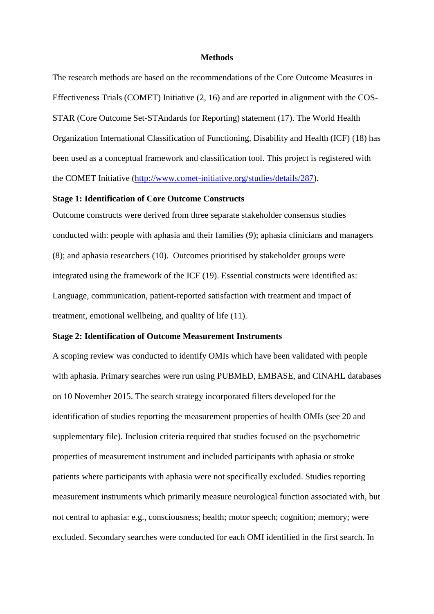#### **Methods**

The research methods are based on the recommendations of the Core Outcome Measures in Effectiveness Trials (COMET) Initiative (2, 16) and are reported in alignment with the COS-STAR (Core Outcome Set-STAndards for Reporting) statement (17). The World Health Organization International Classification of Functioning, Disability and Health (ICF) (18) has been used as a conceptual framework and classification tool. This project is registered with the COMET Initiative [\(http://www.comet-initiative.org/studies/details/287\)](http://www.comet-initiative.org/studies/details/287).

## **Stage 1: Identification of Core Outcome Constructs**

Outcome constructs were derived from three separate stakeholder consensus studies conducted with: people with aphasia and their families (9); aphasia clinicians and managers (8); and aphasia researchers (10). Outcomes prioritised by stakeholder groups were integrated using the framework of the ICF (19). Essential constructs were identified as: Language, communication, patient-reported satisfaction with treatment and impact of treatment, emotional wellbeing, and quality of life (11).

#### **Stage 2: Identification of Outcome Measurement Instruments**

A scoping review was conducted to identify OMIs which have been validated with people with aphasia. Primary searches were run using PUBMED, EMBASE, and CINAHL databases on 10 November 2015. The search strategy incorporated filters developed for the identification of studies reporting the measurement properties of health OMIs (see 20 and supplementary file). Inclusion criteria required that studies focused on the psychometric properties of measurement instrument and included participants with aphasia or stroke patients where participants with aphasia were not specifically excluded. Studies reporting measurement instruments which primarily measure neurological function associated with, but not central to aphasia: e.g., consciousness; health; motor speech; cognition; memory; were excluded. Secondary searches were conducted for each OMI identified in the first search. In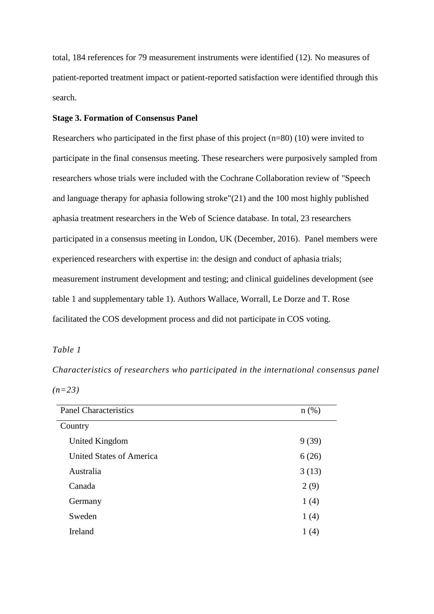total, 184 references for 79 measurement instruments were identified (12). No measures of patient-reported treatment impact or patient-reported satisfaction were identified through this search.

## **Stage 3. Formation of Consensus Panel**

Researchers who participated in the first phase of this project (n=80) (10) were invited to participate in the final consensus meeting. These researchers were purposively sampled from researchers whose trials were included with the Cochrane Collaboration review of "Speech and language therapy for aphasia following stroke"(21) and the 100 most highly published aphasia treatment researchers in the Web of Science database. In total, 23 researchers participated in a consensus meeting in London, UK (December, 2016). Panel members were experienced researchers with expertise in: the design and conduct of aphasia trials; measurement instrument development and testing; and clinical guidelines development (see table 1 and supplementary table 1). Authors Wallace, Worrall, Le Dorze and T. Rose facilitated the COS development process and did not participate in COS voting.

## *Table 1*

*Characteristics of researchers who participated in the international consensus panel (n=23)*

| <b>Panel Characteristics</b>    |       |  |  |
|---------------------------------|-------|--|--|
| Country                         |       |  |  |
| United Kingdom                  | 9(39) |  |  |
| <b>United States of America</b> | 6(26) |  |  |
| Australia                       | 3(13) |  |  |
| Canada                          | 2(9)  |  |  |
| Germany                         | 1(4)  |  |  |
| Sweden                          | 1(4)  |  |  |
| <b>Ireland</b>                  | 1(4)  |  |  |
|                                 |       |  |  |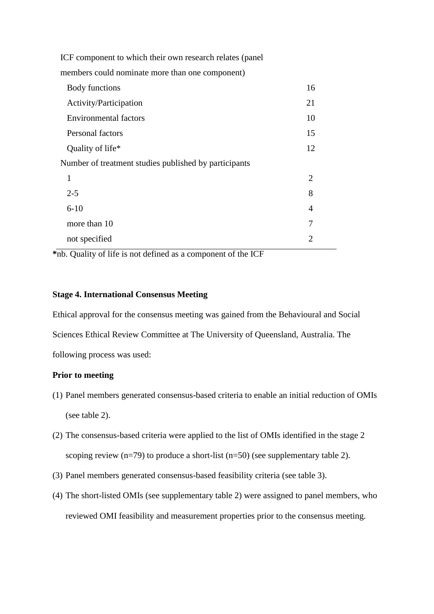| ICF component to which their own research relates (panel |                             |
|----------------------------------------------------------|-----------------------------|
| members could nominate more than one component)          |                             |
| Body functions                                           | 16                          |
| Activity/Participation                                   | 21                          |
| <b>Environmental factors</b>                             | 10                          |
| Personal factors                                         | 15                          |
| Quality of life*                                         | 12                          |
| Number of treatment studies published by participants    |                             |
| 1                                                        | $\mathcal{D}_{\mathcal{L}}$ |
| $2 - 5$                                                  | 8                           |
| $6 - 10$                                                 | 4                           |
| more than 10                                             | 7                           |
| not specified                                            | 2                           |

**\***nb. Quality of life is not defined as a component of the ICF

## **Stage 4. International Consensus Meeting**

Ethical approval for the consensus meeting was gained from the Behavioural and Social Sciences Ethical Review Committee at The University of Queensland, Australia. The following process was used:

## **Prior to meeting**

- (1) Panel members generated consensus-based criteria to enable an initial reduction of OMIs (see table 2).
- (2) The consensus-based criteria were applied to the list of OMIs identified in the stage 2 scoping review (n=79) to produce a short-list (n=50) (see supplementary table 2).
- (3) Panel members generated consensus-based feasibility criteria (see table 3).
- (4) The short-listed OMIs (see supplementary table 2) were assigned to panel members, who reviewed OMI feasibility and measurement properties prior to the consensus meeting.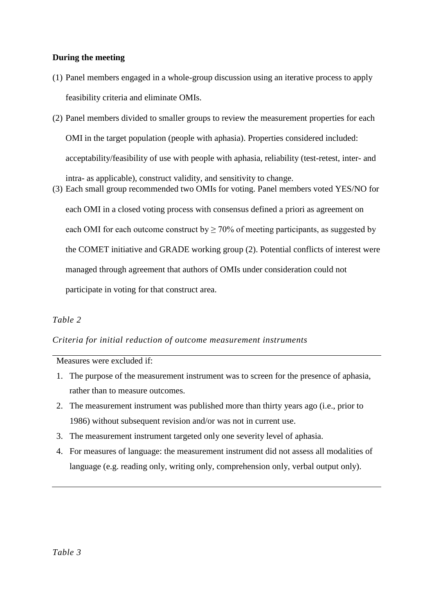## **During the meeting**

- (1) Panel members engaged in a whole-group discussion using an iterative process to apply feasibility criteria and eliminate OMIs.
- (2) Panel members divided to smaller groups to review the measurement properties for each OMI in the target population (people with aphasia). Properties considered included: acceptability/feasibility of use with people with aphasia, reliability (test-retest, inter- and intra- as applicable), construct validity, and sensitivity to change.
- (3) Each small group recommended two OMIs for voting. Panel members voted YES/NO for each OMI in a closed voting process with consensus defined a priori as agreement on each OMI for each outcome construct by  $\geq 70\%$  of meeting participants, as suggested by the COMET initiative and GRADE working group (2). Potential conflicts of interest were managed through agreement that authors of OMIs under consideration could not participate in voting for that construct area.

## *Table 2*

## *Criteria for initial reduction of outcome measurement instruments*

Measures were excluded if:

- 1. The purpose of the measurement instrument was to screen for the presence of aphasia, rather than to measure outcomes.
- 2. The measurement instrument was published more than thirty years ago (i.e., prior to 1986) without subsequent revision and/or was not in current use.
- 3. The measurement instrument targeted only one severity level of aphasia.
- 4. For measures of language: the measurement instrument did not assess all modalities of language (e.g. reading only, writing only, comprehension only, verbal output only).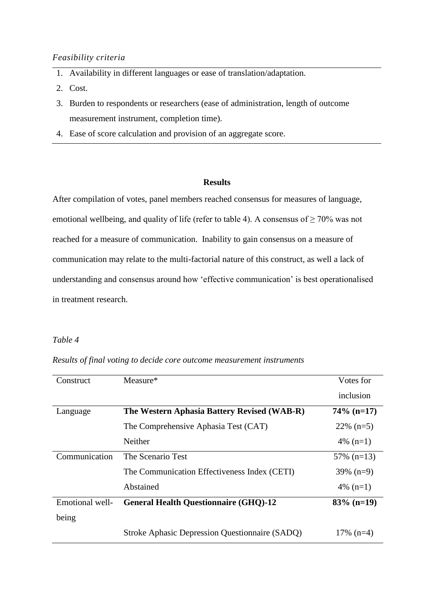### *Feasibility criteria*

- 1. Availability in different languages or ease of translation/adaptation.
- 2. Cost.
- 3. Burden to respondents or researchers (ease of administration, length of outcome measurement instrument, completion time).
- 4. Ease of score calculation and provision of an aggregate score.

## **Results**

After compilation of votes, panel members reached consensus for measures of language, emotional wellbeing, and quality of life (refer to table 4). A consensus of  $\geq 70\%$  was not reached for a measure of communication. Inability to gain consensus on a measure of communication may relate to the multi-factorial nature of this construct, as well a lack of understanding and consensus around how 'effective communication' is best operationalised in treatment research.

## *Table 4*

*Results of final voting to decide core outcome measurement instruments*

| Construct       | Measure*                                       | Votes for     |
|-----------------|------------------------------------------------|---------------|
|                 |                                                | inclusion     |
| Language        | The Western Aphasia Battery Revised (WAB-R)    | $74\%$ (n=17) |
|                 | The Comprehensive Aphasia Test (CAT)           | $22\%$ (n=5)  |
|                 | Neither                                        | 4\% $(n=1)$   |
| Communication   | The Scenario Test                              | $57\%$ (n=13) |
|                 | The Communication Effectiveness Index (CETI)   | $39\%$ (n=9)  |
|                 | Abstained                                      | 4\% $(n=1)$   |
| Emotional well- | <b>General Health Questionnaire (GHQ)-12</b>   | $83\%$ (n=19) |
| being           |                                                |               |
|                 | Stroke Aphasic Depression Questionnaire (SADQ) | $17\%$ (n=4)  |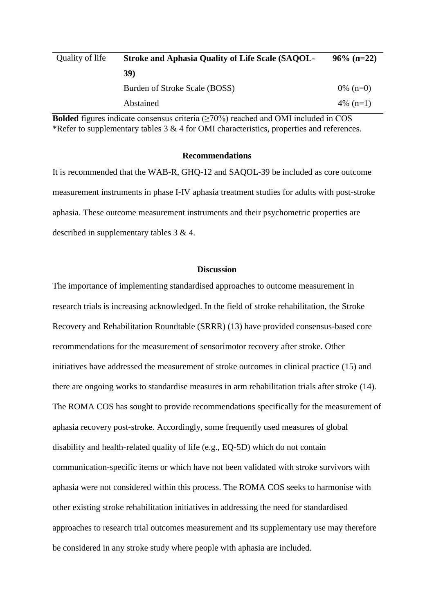| Quality of life | <b>Stroke and Aphasia Quality of Life Scale (SAQOL-</b> | $96\%$ (n=22) |
|-----------------|---------------------------------------------------------|---------------|
|                 | <b>39</b> )                                             |               |
|                 | Burden of Stroke Scale (BOSS)                           | 0\% $(n=0)$   |
|                 | Abstained                                               | 4\% $(n=1)$   |

**Bolded** figures indicate consensus criteria  $(\geq 70\%)$  reached and OMI included in COS \*Refer to supplementary tables  $3 & 4$  for OMI characteristics, properties and references.

## **Recommendations**

It is recommended that the WAB-R, GHQ-12 and SAQOL-39 be included as core outcome measurement instruments in phase I-IV aphasia treatment studies for adults with post-stroke aphasia. These outcome measurement instruments and their psychometric properties are described in supplementary tables 3 & 4.

### **Discussion**

The importance of implementing standardised approaches to outcome measurement in research trials is increasing acknowledged. In the field of stroke rehabilitation, the Stroke Recovery and Rehabilitation Roundtable (SRRR) (13) have provided consensus-based core recommendations for the measurement of sensorimotor recovery after stroke. Other initiatives have addressed the measurement of stroke outcomes in clinical practice (15) and there are ongoing works to standardise measures in arm rehabilitation trials after stroke (14). The ROMA COS has sought to provide recommendations specifically for the measurement of aphasia recovery post-stroke. Accordingly, some frequently used measures of global disability and health-related quality of life (e.g., EQ-5D) which do not contain communication-specific items or which have not been validated with stroke survivors with aphasia were not considered within this process. The ROMA COS seeks to harmonise with other existing stroke rehabilitation initiatives in addressing the need for standardised approaches to research trial outcomes measurement and its supplementary use may therefore be considered in any stroke study where people with aphasia are included.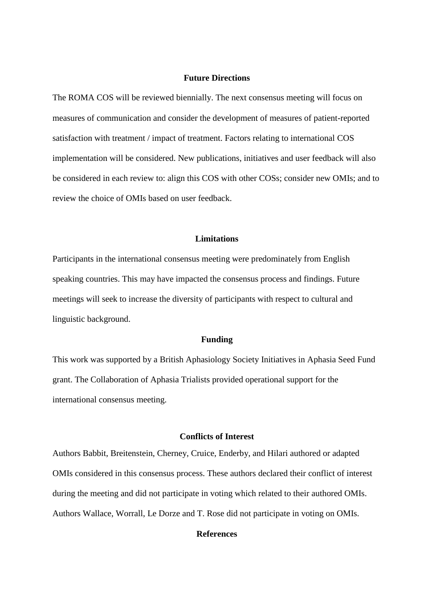### **Future Directions**

The ROMA COS will be reviewed biennially. The next consensus meeting will focus on measures of communication and consider the development of measures of patient-reported satisfaction with treatment / impact of treatment. Factors relating to international COS implementation will be considered. New publications, initiatives and user feedback will also be considered in each review to: align this COS with other COSs; consider new OMIs; and to review the choice of OMIs based on user feedback.

### **Limitations**

Participants in the international consensus meeting were predominately from English speaking countries. This may have impacted the consensus process and findings. Future meetings will seek to increase the diversity of participants with respect to cultural and linguistic background.

#### **Funding**

This work was supported by a British Aphasiology Society Initiatives in Aphasia Seed Fund grant. The Collaboration of Aphasia Trialists provided operational support for the international consensus meeting.

### **Conflicts of Interest**

Authors Babbit, Breitenstein, Cherney, Cruice, Enderby, and Hilari authored or adapted OMIs considered in this consensus process. These authors declared their conflict of interest during the meeting and did not participate in voting which related to their authored OMIs. Authors Wallace, Worrall, Le Dorze and T. Rose did not participate in voting on OMIs.

### **References**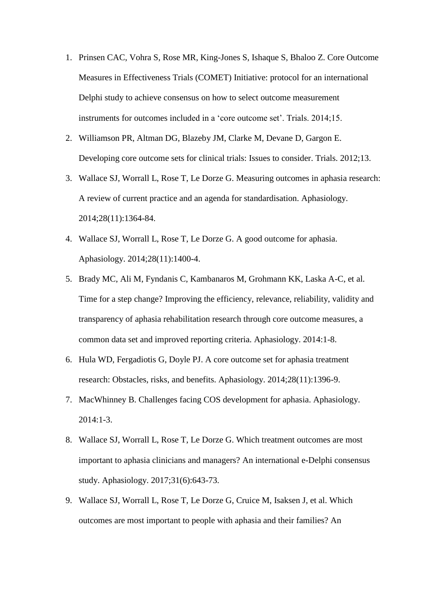- 1. Prinsen CAC, Vohra S, Rose MR, King-Jones S, Ishaque S, Bhaloo Z. Core Outcome Measures in Effectiveness Trials (COMET) Initiative: protocol for an international Delphi study to achieve consensus on how to select outcome measurement instruments for outcomes included in a 'core outcome set'. Trials. 2014;15.
- 2. Williamson PR, Altman DG, Blazeby JM, Clarke M, Devane D, Gargon E. Developing core outcome sets for clinical trials: Issues to consider. Trials. 2012;13.
- 3. Wallace SJ, Worrall L, Rose T, Le Dorze G. Measuring outcomes in aphasia research: A review of current practice and an agenda for standardisation. Aphasiology. 2014;28(11):1364-84.
- 4. Wallace SJ, Worrall L, Rose T, Le Dorze G. A good outcome for aphasia. Aphasiology. 2014;28(11):1400-4.
- 5. Brady MC, Ali M, Fyndanis C, Kambanaros M, Grohmann KK, Laska A-C, et al. Time for a step change? Improving the efficiency, relevance, reliability, validity and transparency of aphasia rehabilitation research through core outcome measures, a common data set and improved reporting criteria. Aphasiology. 2014:1-8.
- 6. Hula WD, Fergadiotis G, Doyle PJ. A core outcome set for aphasia treatment research: Obstacles, risks, and benefits. Aphasiology. 2014;28(11):1396-9.
- 7. MacWhinney B. Challenges facing COS development for aphasia. Aphasiology.  $2014:1-3$ .
- 8. Wallace SJ, Worrall L, Rose T, Le Dorze G. Which treatment outcomes are most important to aphasia clinicians and managers? An international e-Delphi consensus study. Aphasiology. 2017;31(6):643-73.
- 9. Wallace SJ, Worrall L, Rose T, Le Dorze G, Cruice M, Isaksen J, et al. Which outcomes are most important to people with aphasia and their families? An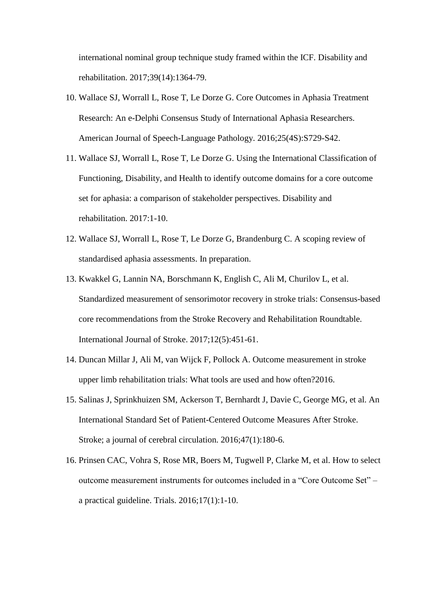international nominal group technique study framed within the ICF. Disability and rehabilitation. 2017;39(14):1364-79.

- 10. Wallace SJ, Worrall L, Rose T, Le Dorze G. Core Outcomes in Aphasia Treatment Research: An e-Delphi Consensus Study of International Aphasia Researchers. American Journal of Speech-Language Pathology. 2016;25(4S):S729-S42.
- 11. Wallace SJ, Worrall L, Rose T, Le Dorze G. Using the International Classification of Functioning, Disability, and Health to identify outcome domains for a core outcome set for aphasia: a comparison of stakeholder perspectives. Disability and rehabilitation. 2017:1-10.
- 12. Wallace SJ, Worrall L, Rose T, Le Dorze G, Brandenburg C. A scoping review of standardised aphasia assessments. In preparation.
- 13. Kwakkel G, Lannin NA, Borschmann K, English C, Ali M, Churilov L, et al. Standardized measurement of sensorimotor recovery in stroke trials: Consensus-based core recommendations from the Stroke Recovery and Rehabilitation Roundtable. International Journal of Stroke. 2017;12(5):451-61.
- 14. Duncan Millar J, Ali M, van Wijck F, Pollock A. Outcome measurement in stroke upper limb rehabilitation trials: What tools are used and how often?2016.
- 15. Salinas J, Sprinkhuizen SM, Ackerson T, Bernhardt J, Davie C, George MG, et al. An International Standard Set of Patient-Centered Outcome Measures After Stroke. Stroke; a journal of cerebral circulation. 2016;47(1):180-6.
- 16. Prinsen CAC, Vohra S, Rose MR, Boers M, Tugwell P, Clarke M, et al. How to select outcome measurement instruments for outcomes included in a "Core Outcome Set" – a practical guideline. Trials. 2016;17(1):1-10.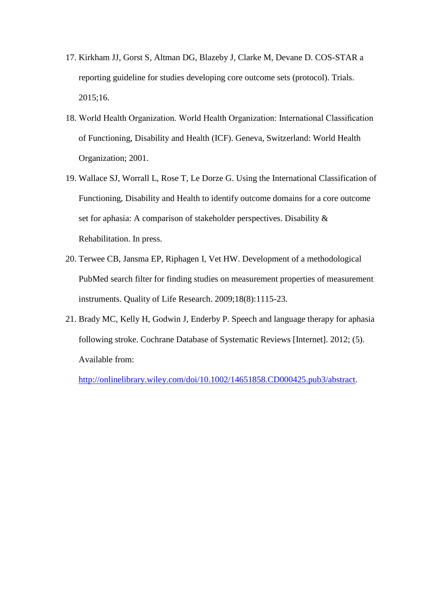- 17. Kirkham JJ, Gorst S, Altman DG, Blazeby J, Clarke M, Devane D. COS-STAR a reporting guideline for studies developing core outcome sets (protocol). Trials. 2015;16.
- 18. World Health Organization. World Health Organization: International Classification of Functioning, Disability and Health (ICF). Geneva, Switzerland: World Health Organization; 2001.
- 19. Wallace SJ, Worrall L, Rose T, Le Dorze G. Using the International Classification of Functioning, Disability and Health to identify outcome domains for a core outcome set for aphasia: A comparison of stakeholder perspectives. Disability & Rehabilitation. In press.
- 20. Terwee CB, Jansma EP, Riphagen I, Vet HW. Development of a methodological PubMed search filter for finding studies on measurement properties of measurement instruments. Quality of Life Research. 2009;18(8):1115-23.
- 21. Brady MC, Kelly H, Godwin J, Enderby P. Speech and language therapy for aphasia following stroke. Cochrane Database of Systematic Reviews [Internet]. 2012; (5). Available from:

[http://onlinelibrary.wiley.com/doi/10.1002/14651858.CD000425.pub3/abstract.](http://onlinelibrary.wiley.com/doi/10.1002/14651858.CD000425.pub3/abstract)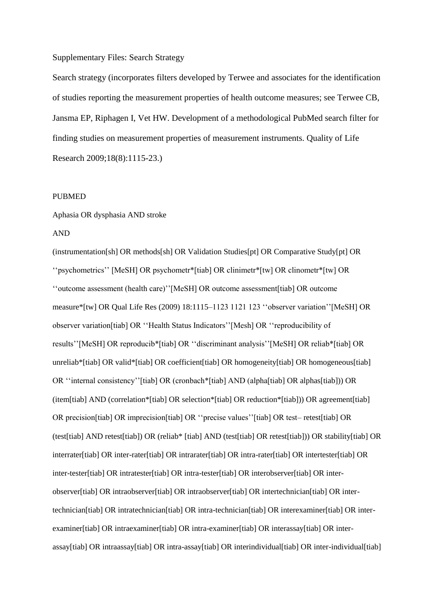#### Supplementary Files: Search Strategy

Search strategy (incorporates filters developed by Terwee and associates for the identification of studies reporting the measurement properties of health outcome measures; see Terwee CB, Jansma EP, Riphagen I, Vet HW. Development of a methodological PubMed search filter for finding studies on measurement properties of measurement instruments. Quality of Life Research 2009;18(8):1115-23.)

#### PUBMED

Aphasia OR dysphasia AND stroke

#### AND

(instrumentation[sh] OR methods[sh] OR Validation Studies[pt] OR Comparative Study[pt] OR ''psychometrics'' [MeSH] OR psychometr\*[tiab] OR clinimetr\*[tw] OR clinometr\*[tw] OR ''outcome assessment (health care)''[MeSH] OR outcome assessment[tiab] OR outcome measure\*[tw] OR Qual Life Res (2009) 18:1115–1123 1121 123 ''observer variation''[MeSH] OR observer variation[tiab] OR ''Health Status Indicators''[Mesh] OR ''reproducibility of results''[MeSH] OR reproducib\*[tiab] OR ''discriminant analysis''[MeSH] OR reliab\*[tiab] OR unreliab\*[tiab] OR valid\*[tiab] OR coefficient[tiab] OR homogeneity[tiab] OR homogeneous[tiab] OR ''internal consistency''[tiab] OR (cronbach\*[tiab] AND (alpha[tiab] OR alphas[tiab])) OR (item[tiab] AND (correlation\*[tiab] OR selection\*[tiab] OR reduction\*[tiab])) OR agreement[tiab] OR precision[tiab] OR imprecision[tiab] OR ''precise values''[tiab] OR test– retest[tiab] OR (test[tiab] AND retest[tiab]) OR (reliab\* [tiab] AND (test[tiab] OR retest[tiab])) OR stability[tiab] OR interrater[tiab] OR inter-rater[tiab] OR intrarater[tiab] OR intra-rater[tiab] OR intertester[tiab] OR inter-tester[tiab] OR intratester[tiab] OR intra-tester[tiab] OR interobserver[tiab] OR interobserver[tiab] OR intraobserver[tiab] OR intraobserver[tiab] OR intertechnician[tiab] OR intertechnician[tiab] OR intratechnician[tiab] OR intra-technician[tiab] OR interexaminer[tiab] OR interexaminer[tiab] OR intraexaminer[tiab] OR intra-examiner[tiab] OR interassay[tiab] OR interassay[tiab] OR intraassay[tiab] OR intra-assay[tiab] OR interindividual[tiab] OR inter-individual[tiab]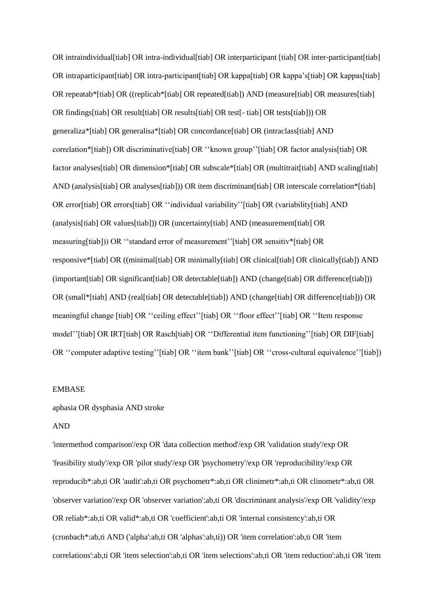OR intraindividual[tiab] OR intra-individual[tiab] OR interparticipant [tiab] OR inter-participant[tiab] OR intraparticipant[tiab] OR intra-participant[tiab] OR kappa[tiab] OR kappa's[tiab] OR kappas[tiab] OR repeatab\*[tiab] OR ((replicab\*[tiab] OR repeated[tiab]) AND (measure[tiab] OR measures[tiab] OR findings[tiab] OR result[tiab] OR results[tiab] OR test[- tiab] OR tests[tiab])) OR generaliza\*[tiab] OR generalisa\*[tiab] OR concordance[tiab] OR (intraclass[tiab] AND correlation\*[tiab]) OR discriminative[tiab] OR ''known group''[tiab] OR factor analysis[tiab] OR factor analyses [tiab] OR dimension\*[tiab] OR subscale\*[tiab] OR (multitrait [tiab] AND scaling [tiab] AND (analysis [tiab] OR analyses [tiab]) OR item discriminant [tiab] OR interscale correlation\* [tiab] OR error[tiab] OR errors[tiab] OR "individual variability"[tiab] OR (variability[tiab] AND (analysis[tiab] OR values[tiab])) OR (uncertainty[tiab] AND (measurement[tiab] OR measuring[tiab])) OR ''standard error of measurement''[tiab] OR sensitiv\*[tiab] OR responsive\*[tiab] OR ((minimal[tiab] OR minimally[tiab] OR clinical[tiab] OR clinically[tiab]) AND (important[tiab] OR significant[tiab] OR detectable[tiab]) AND (change[tiab] OR difference[tiab])) OR (small\*[tiab] AND (real[tiab] OR detectable[tiab]) AND (change[tiab] OR difference[tiab])) OR meaningful change [tiab] OR ''ceiling effect''[tiab] OR ''floor effect''[tiab] OR ''Item response model''[tiab] OR IRT[tiab] OR Rasch[tiab] OR ''Differential item functioning''[tiab] OR DIF[tiab] OR "computer adaptive testing" [tiab] OR "item bank" [tiab] OR "cross-cultural equivalence" [tiab])

#### EMBASE

#### aphasia OR dysphasia AND stroke

#### AND

'intermethod comparison'/exp OR 'data collection method'/exp OR 'validation study'/exp OR 'feasibility study'/exp OR 'pilot study'/exp OR 'psychometry'/exp OR 'reproducibility'/exp OR reproducib\*:ab,ti OR 'audit':ab,ti OR psychometr\*:ab,ti OR clinimetr\*:ab,ti OR clinometr\*:ab,ti OR 'observer variation'/exp OR 'observer variation':ab,ti OR 'discriminant analysis'/exp OR 'validity'/exp OR reliab\*:ab,ti OR valid\*:ab,ti OR 'coefficient':ab,ti OR 'internal consistency':ab,ti OR (cronbach\*:ab,ti AND ('alpha':ab,ti OR 'alphas':ab,ti)) OR 'item correlation':ab,ti OR 'item correlations':ab,ti OR 'item selection':ab,ti OR 'item selections':ab,ti OR 'item reduction':ab,ti OR 'item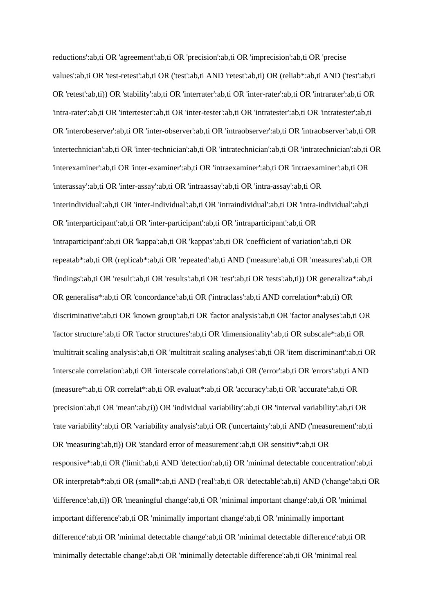reductions':ab,ti OR 'agreement':ab,ti OR 'precision':ab,ti OR 'imprecision':ab,ti OR 'precise values':ab,ti OR 'test-retest':ab,ti OR ('test':ab,ti AND 'retest':ab,ti) OR (reliab\*:ab,ti AND ('test':ab,ti OR 'retest':ab,ti)) OR 'stability':ab,ti OR 'interrater':ab,ti OR 'inter-rater':ab,ti OR 'intrarater':ab,ti OR 'intra-rater':ab,ti OR 'intertester':ab,ti OR 'inter-tester':ab,ti OR 'intratester':ab,ti OR 'intratester':ab,ti OR 'interobeserver':ab,ti OR 'inter-observer':ab,ti OR 'intraobserver':ab,ti OR 'intraobserver':ab,ti OR 'intertechnician':ab,ti OR 'inter-technician':ab,ti OR 'intratechnician':ab,ti OR 'intratechnician':ab,ti OR 'interexaminer':ab,ti OR 'inter-examiner':ab,ti OR 'intraexaminer':ab,ti OR 'intraexaminer':ab,ti OR 'interassay':ab,ti OR 'inter-assay':ab,ti OR 'intraassay':ab,ti OR 'intra-assay':ab,ti OR 'interindividual':ab,ti OR 'inter-individual':ab,ti OR 'intraindividual':ab,ti OR 'intra-individual':ab,ti OR 'interparticipant':ab,ti OR 'inter-participant':ab,ti OR 'intraparticipant':ab,ti OR 'intraparticipant':ab,ti OR 'kappa':ab,ti OR 'kappas':ab,ti OR 'coefficient of variation':ab,ti OR repeatab\*:ab,ti OR (replicab\*:ab,ti OR 'repeated':ab,ti AND ('measure':ab,ti OR 'measures':ab,ti OR 'findings':ab,ti OR 'result':ab,ti OR 'results':ab,ti OR 'test':ab,ti OR 'tests':ab,ti)) OR generaliza\*:ab,ti OR generalisa\*:ab,ti OR 'concordance':ab,ti OR ('intraclass':ab,ti AND correlation\*:ab,ti) OR 'discriminative':ab,ti OR 'known group':ab,ti OR 'factor analysis':ab,ti OR 'factor analyses':ab,ti OR 'factor structure':ab,ti OR 'factor structures':ab,ti OR 'dimensionality':ab,ti OR subscale\*:ab,ti OR 'multitrait scaling analysis':ab,ti OR 'multitrait scaling analyses':ab,ti OR 'item discriminant':ab,ti OR 'interscale correlation':ab,ti OR 'interscale correlations':ab,ti OR ('error':ab,ti OR 'errors':ab,ti AND (measure\*:ab,ti OR correlat\*:ab,ti OR evaluat\*:ab,ti OR 'accuracy':ab,ti OR 'accurate':ab,ti OR 'precision':ab,ti OR 'mean':ab,ti)) OR 'individual variability':ab,ti OR 'interval variability':ab,ti OR 'rate variability':ab,ti OR 'variability analysis':ab,ti OR ('uncertainty':ab,ti AND ('measurement':ab,ti OR 'measuring':ab,ti)) OR 'standard error of measurement':ab,ti OR sensitiv\*:ab,ti OR responsive\*:ab,ti OR ('limit':ab,ti AND 'detection':ab,ti) OR 'minimal detectable concentration':ab,ti OR interpretab\*:ab,ti OR (small\*:ab,ti AND ('real':ab,ti OR 'detectable':ab,ti) AND ('change':ab,ti OR 'difference':ab,ti)) OR 'meaningful change':ab,ti OR 'minimal important change':ab,ti OR 'minimal important difference':ab,ti OR 'minimally important change':ab,ti OR 'minimally important difference':ab,ti OR 'minimal detectable change':ab,ti OR 'minimal detectable difference':ab,ti OR 'minimally detectable change':ab,ti OR 'minimally detectable difference':ab,ti OR 'minimal real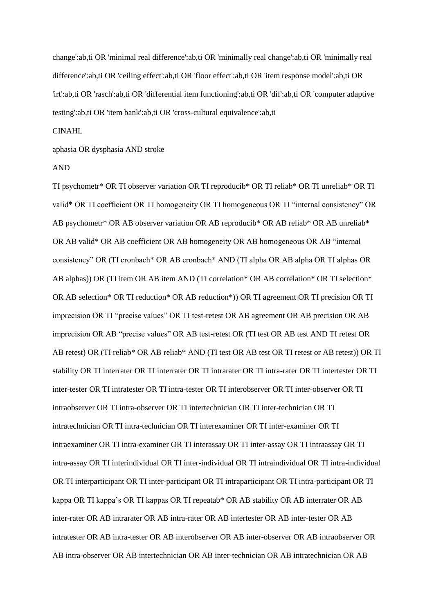change':ab,ti OR 'minimal real difference':ab,ti OR 'minimally real change':ab,ti OR 'minimally real difference':ab,ti OR 'ceiling effect':ab,ti OR 'floor effect':ab,ti OR 'item response model':ab,ti OR 'irt':ab,ti OR 'rasch':ab,ti OR 'differential item functioning':ab,ti OR 'dif':ab,ti OR 'computer adaptive testing':ab,ti OR 'item bank':ab,ti OR 'cross-cultural equivalence':ab,ti

#### CINAHL

aphasia OR dysphasia AND stroke

#### AND

TI psychometr\* OR TI observer variation OR TI reproducib\* OR TI reliab\* OR TI unreliab\* OR TI valid\* OR TI coefficient OR TI homogeneity OR TI homogeneous OR TI "internal consistency" OR AB psychometr\* OR AB observer variation OR AB reproducib\* OR AB reliab\* OR AB unreliab\* OR AB valid\* OR AB coefficient OR AB homogeneity OR AB homogeneous OR AB "internal consistency" OR (TI cronbach\* OR AB cronbach\* AND (TI alpha OR AB alpha OR TI alphas OR AB alphas)) OR (TI item OR AB item AND (TI correlation\* OR AB correlation\* OR TI selection\* OR AB selection\* OR TI reduction\* OR AB reduction\*)) OR TI agreement OR TI precision OR TI imprecision OR TI "precise values" OR TI test-retest OR AB agreement OR AB precision OR AB imprecision OR AB "precise values" OR AB test-retest OR (TI test OR AB test AND TI retest OR AB retest) OR (TI reliab\* OR AB reliab\* AND (TI test OR AB test OR TI retest or AB retest)) OR TI stability OR TI interrater OR TI interrater OR TI intrarater OR TI intra-rater OR TI intertester OR TI inter-tester OR TI intratester OR TI intra-tester OR TI interobserver OR TI inter-observer OR TI intraobserver OR TI intra-observer OR TI intertechnician OR TI inter-technician OR TI intratechnician OR TI intra-technician OR TI interexaminer OR TI inter-examiner OR TI intraexaminer OR TI intra-examiner OR TI interassay OR TI inter-assay OR TI intraassay OR TI intra-assay OR TI interindividual OR TI inter-individual OR TI intraindividual OR TI intra-individual OR TI interparticipant OR TI inter-participant OR TI intraparticipant OR TI intra-participant OR TI kappa OR TI kappa's OR TI kappas OR TI repeatab\* OR AB stability OR AB interrater OR AB inter-rater OR AB intrarater OR AB intra-rater OR AB intertester OR AB inter-tester OR AB intratester OR AB intra-tester OR AB interobserver OR AB inter-observer OR AB intraobserver OR AB intra-observer OR AB intertechnician OR AB inter-technician OR AB intratechnician OR AB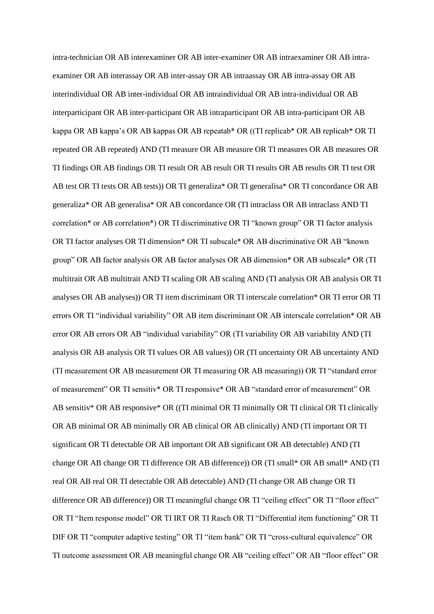intra-technician OR AB interexaminer OR AB inter-examiner OR AB intraexaminer OR AB intraexaminer OR AB interassay OR AB inter-assay OR AB intraassay OR AB intra-assay OR AB interindividual OR AB inter-individual OR AB intraindividual OR AB intra-individual OR AB interparticipant OR AB inter-participant OR AB intraparticipant OR AB intra-participant OR AB kappa OR AB kappa's OR AB kappas OR AB repeatab\* OR ((TI replicab\* OR AB replicab\* OR TI repeated OR AB repeated) AND (TI measure OR AB measure OR TI measures OR AB measures OR TI findings OR AB findings OR TI result OR AB result OR TI results OR AB results OR TI test OR AB test OR TI tests OR AB tests)) OR TI generaliza\* OR TI generalisa\* OR TI concordance OR AB generaliza\* OR AB generalisa\* OR AB concordance OR (TI intraclass OR AB intraclass AND TI correlation\* or AB correlation\*) OR TI discriminative OR TI "known group" OR TI factor analysis OR TI factor analyses OR TI dimension\* OR TI subscale\* OR AB discriminative OR AB "known group" OR AB factor analysis OR AB factor analyses OR AB dimension\* OR AB subscale\* OR (TI multitrait OR AB multitrait AND TI scaling OR AB scaling AND (TI analysis OR AB analysis OR TI analyses OR AB analyses)) OR TI item discriminant OR TI interscale correlation\* OR TI error OR TI errors OR TI "individual variability" OR AB item discriminant OR AB interscale correlation\* OR AB error OR AB errors OR AB "individual variability" OR (TI variability OR AB variability AND (TI analysis OR AB analysis OR TI values OR AB values)) OR (TI uncertainty OR AB uncertainty AND (TI measurement OR AB measurement OR TI measuring OR AB measuring)) OR TI "standard error of measurement" OR TI sensitiv\* OR TI responsive\* OR AB "standard error of measurement" OR AB sensitiv\* OR AB responsive\* OR ((TI minimal OR TI minimally OR TI clinical OR TI clinically OR AB minimal OR AB minimally OR AB clinical OR AB clinically) AND (TI important OR TI significant OR TI detectable OR AB important OR AB significant OR AB detectable) AND (TI change OR AB change OR TI difference OR AB difference)) OR (TI small\* OR AB small\* AND (TI real OR AB real OR TI detectable OR AB detectable) AND (TI change OR AB change OR TI difference OR AB difference)) OR TI meaningful change OR TI "ceiling effect" OR TI "floor effect" OR TI "Item response model" OR TI IRT OR TI Rasch OR TI "Differential item functioning" OR TI DIF OR TI "computer adaptive testing" OR TI "item bank" OR TI "cross-cultural equivalence" OR TI outcome assessment OR AB meaningful change OR AB "ceiling effect" OR AB "floor effect" OR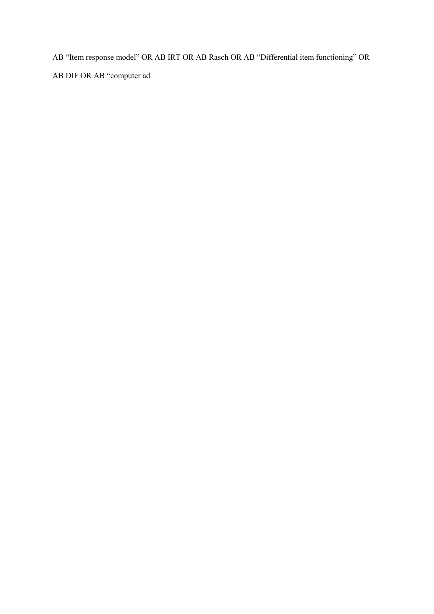AB "Item response model" OR AB IRT OR AB Rasch OR AB "Differential item functioning" OR AB DIF OR AB "computer ad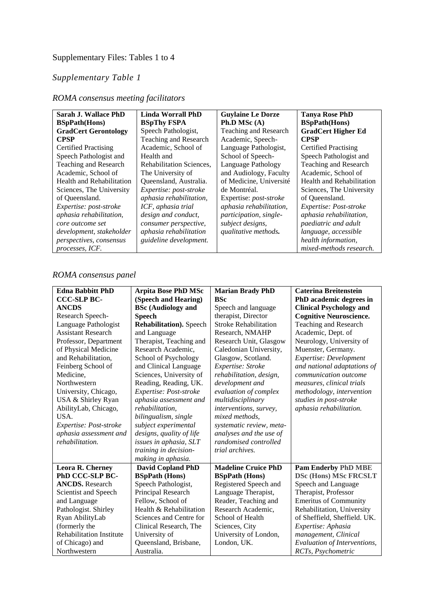# Supplementary Files: Tables 1 to 4

## *Supplementary Table 1*

| Sarah J. Wallace PhD           | Linda Worrall PhD        | <b>Guylaine Le Dorze</b>      | <b>Tanya Rose PhD</b>        |
|--------------------------------|--------------------------|-------------------------------|------------------------------|
| <b>BSpPath(Hons)</b>           | <b>BSpThy FSPA</b>       | Ph.D MSc $(A)$                | <b>BSpPath</b> (Hons)        |
| <b>GradCert Gerontology</b>    | Speech Pathologist,      | Teaching and Research         | <b>GradCert Higher Ed</b>    |
| <b>CPSP</b>                    | Teaching and Research    | Academic, Speech-             | <b>CPSP</b>                  |
| <b>Certified Practising</b>    | Academic, School of      | Language Pathologist,         | <b>Certified Practising</b>  |
| Speech Pathologist and         | Health and               | School of Speech-             | Speech Pathologist and       |
| Teaching and Research          | Rehabilitation Sciences, | Language Pathology            | <b>Teaching and Research</b> |
| Academic, School of            | The University of        | and Audiology, Faculty        | Academic, School of          |
| Health and Rehabilitation      | Queensland, Australia.   | of Medicine, Université       | Health and Rehabilitation    |
| Sciences, The University       | Expertise: post-stroke   | de Montréal.                  | Sciences, The University     |
| of Queensland.                 | aphasia rehabilitation,  | Expertise: <i>post-stroke</i> | of Queensland.               |
| Expertise: post-stroke         | ICF, aphasia trial       | aphasia rehabilitation,       | Expertise: Post-stroke       |
| aphasia rehabilitation,        | design and conduct,      | participation, single-        | aphasia rehabilitation,      |
| core outcome set               | consumer perspective,    | subject designs,              | <i>paediatric and adult</i>  |
| development, stakeholder       | aphasia rehabilitation   | qualitative methods.          | language, accessible         |
| <i>perspectives, consensus</i> | guideline development.   |                               | health information,          |
| processes, ICF.                |                          |                               | mixed-methods research.      |

## *ROMA consensus meeting facilitators*

## *ROMA consensus panel*

| <b>Edna Babbitt PhD</b>         | <b>Arpita Bose PhD MSc</b>      | <b>Marian Brady PhD</b>      | <b>Caterina Breitenstein</b>   |
|---------------------------------|---------------------------------|------------------------------|--------------------------------|
| <b>CCC-SLP BC-</b>              | (Speech and Hearing)            | <b>BSc</b>                   | PhD academic degrees in        |
| <b>ANCDS</b>                    | <b>BSc (Audiology and</b>       | Speech and language          | <b>Clinical Psychology and</b> |
| Research Speech-                | <b>Speech</b>                   | therapist, Director          | <b>Cognitive Neuroscience.</b> |
| Language Pathologist            | <b>Rehabilitation</b> ). Speech | <b>Stroke Rehabilitation</b> | Teaching and Research          |
| <b>Assistant Research</b>       |                                 |                              |                                |
|                                 | and Language                    | Research, NMAHP              | Academic, Dept. of             |
| Professor, Department           | Therapist, Teaching and         | Research Unit, Glasgow       | Neurology, University of       |
| of Physical Medicine            | Research Academic,              | Caledonian University,       | Muenster, Germany.             |
| and Rehabilitation,             | School of Psychology            | Glasgow, Scotland.           | Expertise: Development         |
| Feinberg School of              | and Clinical Language           | Expertise: Stroke            | and national adaptations of    |
| Medicine,                       | Sciences, University of         | rehabilitation, design,      | communication outcome          |
| Northwestern                    | Reading, Reading, UK.           | development and              | measures, clinical trials      |
| University, Chicago,            | Expertise: Post-stroke          | evaluation of complex        | methodology, intervention      |
| USA & Shirley Ryan              | aphasia assessment and          | multidisciplinary            | studies in post-stroke         |
| AbilityLab, Chicago,            | rehabilitation.                 | interventions, survey,       | aphasia rehabilitation.        |
| USA.                            | bilingualism, single            | mixed methods,               |                                |
| Expertise: Post-stroke          | subject experimental            | systematic review, meta-     |                                |
| aphasia assessment and          | designs, quality of life        | analyses and the use of      |                                |
| rehabilitation.                 | issues in aphasia, SLT          | randomised controlled        |                                |
|                                 | training in decision-           | trial archives.              |                                |
|                                 | making in aphasia.              |                              |                                |
| Leora R. Cherney                | <b>David Copland PhD</b>        | <b>Madeline Cruice PhD</b>   | <b>Pam Enderby PhD MBE</b>     |
| PhD CCC-SLP BC-                 | <b>BSpPath (Hons)</b>           | <b>BSpPath (Hons)</b>        | <b>DSc (Hons) MSc FRCSLT</b>   |
| <b>ANCDS.</b> Research          | Speech Pathologist,             | Registered Speech and        | Speech and Language            |
| Scientist and Speech            | Principal Research              | Language Therapist,          | Therapist, Professor           |
| and Language                    | Fellow, School of               | Reader, Teaching and         | <b>Emeritus of Community</b>   |
| Pathologist. Shirley            | Health & Rehabilitation         | Research Academic,           | Rehabilitation, University     |
| Ryan AbilityLab                 | Sciences and Centre for         | School of Health             | of Sheffield, Sheffield. UK.   |
| (formerly the                   | Clinical Research, The          | Sciences, City               | Expertise: Aphasia             |
| <b>Rehabilitation Institute</b> | University of                   | University of London,        | management, Clinical           |
| of Chicago) and                 | Queensland, Brisbane,           | London, UK.                  | Evaluation of Interventions,   |
| Northwestern                    | Australia.                      |                              | RCTs, Psychometric             |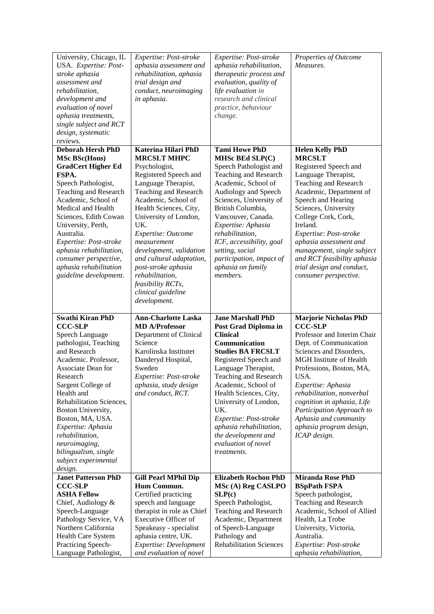| University, Chicago, IL<br>USA. Expertise: Post-<br>stroke aphasia<br>assessment and<br>rehabilitation,<br>development and<br>evaluation of novel<br>aphasia treatments,<br>single subject and RCT<br>design, systematic<br>reviews.                                                                                                                                               | Expertise: Post-stroke<br>aphasia assessment and<br>rehabilitation, aphasia<br>trial design and<br>conduct, neuroimaging<br>in aphasia.                                                                                                                                                                                                                                                                               | Expertise: Post-stroke<br>aphasia rehabilitation,<br>therapeutic process and<br>evaluation, quality of<br>life evaluation in<br>research and clinical<br>practice, behaviour<br>change.                                                                                                                                                                              | Properties of Outcome<br>Measures.                                                                                                                                                                                                                                                                                                                                                                  |
|------------------------------------------------------------------------------------------------------------------------------------------------------------------------------------------------------------------------------------------------------------------------------------------------------------------------------------------------------------------------------------|-----------------------------------------------------------------------------------------------------------------------------------------------------------------------------------------------------------------------------------------------------------------------------------------------------------------------------------------------------------------------------------------------------------------------|----------------------------------------------------------------------------------------------------------------------------------------------------------------------------------------------------------------------------------------------------------------------------------------------------------------------------------------------------------------------|-----------------------------------------------------------------------------------------------------------------------------------------------------------------------------------------------------------------------------------------------------------------------------------------------------------------------------------------------------------------------------------------------------|
| <b>Deborah Hersh PhD</b><br><b>MSc BSc(Hons)</b><br><b>GradCert Higher Ed</b><br>FSPA.<br>Speech Pathologist,<br>Teaching and Research<br>Academic, School of<br>Medical and Health<br>Sciences, Edith Cowan<br>University, Perth,<br>Australia.<br>Expertise: Post-stroke<br>aphasia rehabilitation,<br>consumer perspective,<br>aphasia rehabilitation<br>guideline development. | Katerina Hilari PhD<br><b>MRCSLT MHPC</b><br>Psychologist,<br>Registered Speech and<br>Language Therapist,<br>Teaching and Research<br>Academic, School of<br>Health Sciences, City,<br>University of London,<br>UK.<br>Expertise: Outcome<br>measurement<br>development, validation<br>and cultural adaptation,<br>post-stroke aphasia<br>rehabilitation,<br>feasibility RCTs,<br>clinical guideline<br>development. | <b>Tami Howe PhD</b><br>MHSc BEd SLP(C)<br>Speech Pathologist and<br>Teaching and Research<br>Academic, School of<br>Audiology and Speech<br>Sciences, University of<br>British Columbia,<br>Vancouver, Canada.<br>Expertise: Aphasia<br>rehabilitation,<br>ICF, accessibility, goal<br>setting, social<br>participation, impact of<br>aphasia on family<br>members. | <b>Helen Kelly PhD</b><br><b>MRCSLT</b><br>Registered Speech and<br>Language Therapist,<br>Teaching and Research<br>Academic, Department of<br>Speech and Hearing<br>Sciences, University<br>College Cork, Cork,<br>Ireland.<br>Expertise: Post-stroke<br>aphasia assessment and<br>management, single subject<br>and RCT feasibility aphasia<br>trial design and conduct,<br>consumer perspective. |
| <b>Swathi Kiran PhD</b><br><b>CCC-SLP</b><br>Speech Language                                                                                                                                                                                                                                                                                                                       | <b>Ann-Charlotte Laska</b><br><b>MD A/Professor</b>                                                                                                                                                                                                                                                                                                                                                                   | <b>Jane Marshall PhD</b><br>Post Grad Diploma in                                                                                                                                                                                                                                                                                                                     | <b>Marjorie Nicholas PhD</b><br><b>CCC-SLP</b>                                                                                                                                                                                                                                                                                                                                                      |
| pathologist, Teaching<br>and Research<br>Academic. Professor,<br>Associate Dean for<br>Research<br>Sargent College of<br>Health and<br>Rehabilitation Sciences,<br>Boston University,<br>Boston, MA, USA.<br>Expertise: Aphasia<br>rehabilitation,<br>neuroimaging,<br>bilingualism, single<br>subject experimental<br>design.                                                     | Department of Clinical<br>Science<br>Karolinska Institutet<br>Danderyd Hospital,<br>Sweden<br>Expertise: Post-stroke<br>aphasia, study design<br>and conduct, RCT.                                                                                                                                                                                                                                                    | <b>Clinical</b><br>Communication<br><b>Studies BA FRCSLT</b><br>Registered Speech and<br>Language Therapist,<br>Teaching and Research<br>Academic, School of<br>Health Sciences, City,<br>University of London,<br>UK.<br>Expertise: Post-stroke<br>aphasia rehabilitation,<br>the development and<br>evaluation of novel<br>treatments.                             | Professor and Interim Chair<br>Dept. of Communication<br>Sciences and Disorders,<br><b>MGH</b> Institute of Health<br>Professions, Boston, MA,<br>USA.<br>Expertise: Aphasia<br>rehabilitation, nonverbal<br>cognition in aphasia, Life<br>Participation Approach to<br>Aphasia and community<br>aphasia program design,<br>ICAP design.                                                            |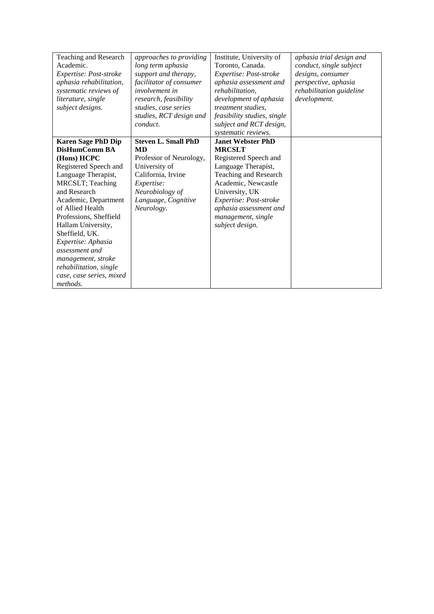| Teaching and Research     | approaches to providing    | Institute, University of     | aphasia trial design and |
|---------------------------|----------------------------|------------------------------|--------------------------|
| Academic.                 | long term aphasia          | Toronto, Canada.             | conduct, single subject  |
| Expertise: Post-stroke    | support and therapy,       | Expertise: Post-stroke       | designs, consumer        |
| aphasia rehabilitation,   | facilitator of consumer    | aphasia assessment and       | perspective, aphasia     |
| systematic reviews of     | <i>involvement in</i>      | rehabilitation,              | rehabilitation guideline |
| literature, single        | research, feasibility      | development of aphasia       | development.             |
| subject designs.          | studies, case series       | <i>treatment studies,</i>    |                          |
|                           | studies, RCT design and    | feasibility studies, single  |                          |
|                           | conduct.                   | subject and RCT design,      |                          |
|                           |                            | systematic reviews.          |                          |
| <b>Karen Sage PhD Dip</b> | <b>Steven L. Small PhD</b> | <b>Janet Webster PhD</b>     |                          |
| DisHumComm BA             | <b>MD</b>                  | <b>MRCSLT</b>                |                          |
| (Hons) HCPC               | Professor of Neurology,    | Registered Speech and        |                          |
| Registered Speech and     | University of              | Language Therapist,          |                          |
| Language Therapist,       | California, Irvine         | <b>Teaching and Research</b> |                          |
| MRCSLT; Teaching          | Expertise:                 | Academic, Newcastle          |                          |
| and Research              | Neurobiology of            | University, UK               |                          |
| Academic, Department      | Language, Cognitive        | Expertise: Post-stroke       |                          |
| of Allied Health          | Neurology.                 | aphasia assessment and       |                          |
| Professions, Sheffield    |                            | management, single           |                          |
| Hallam University,        |                            | subject design.              |                          |
| Sheffield, UK.            |                            |                              |                          |
| Expertise: Aphasia        |                            |                              |                          |
| assessment and            |                            |                              |                          |
| management, stroke        |                            |                              |                          |
| rehabilitation, single    |                            |                              |                          |
| case, case series, mixed  |                            |                              |                          |
| methods.                  |                            |                              |                          |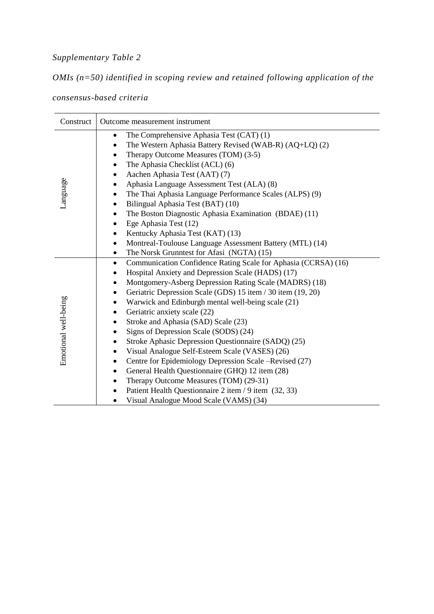# *Supplementary Table 2*

*OMIs (n=50) identified in scoping review and retained following application of the* 

*consensus-based criteria*

| Construct            | Outcome measurement instrument                                                                                                                                                                                                                                                                                                                                                                                                                                                                                                                                                                                                                                                                                                                                                                          |
|----------------------|---------------------------------------------------------------------------------------------------------------------------------------------------------------------------------------------------------------------------------------------------------------------------------------------------------------------------------------------------------------------------------------------------------------------------------------------------------------------------------------------------------------------------------------------------------------------------------------------------------------------------------------------------------------------------------------------------------------------------------------------------------------------------------------------------------|
| Language             | The Comprehensive Aphasia Test (CAT) (1)<br>The Western Aphasia Battery Revised (WAB-R) (AQ+LQ) (2)<br>Therapy Outcome Measures (TOM) (3-5)<br>The Aphasia Checklist (ACL) (6)<br>Aachen Aphasia Test (AAT) (7)<br>Aphasia Language Assessment Test (ALA) (8)<br>The Thai Aphasia Language Performance Scales (ALPS) (9)<br>Bilingual Aphasia Test (BAT) (10)<br>The Boston Diagnostic Aphasia Examination (BDAE) (11)<br>٠<br>Ege Aphasia Test (12)<br>٠<br>Kentucky Aphasia Test (KAT) (13)<br>٠<br>Montreal-Toulouse Language Assessment Battery (MTL) (14)<br>The Norsk Grunntest for Afasi (NGTA) (15)                                                                                                                                                                                             |
| Emotional well-being | Communication Confidence Rating Scale for Aphasia (CCRSA) (16)<br>$\bullet$<br>Hospital Anxiety and Depression Scale (HADS) (17)<br>Montgomery-Asberg Depression Rating Scale (MADRS) (18)<br>٠<br>Geriatric Depression Scale (GDS) 15 item / 30 item (19, 20)<br>Warwick and Edinburgh mental well-being scale (21)<br>Geriatric anxiety scale (22)<br>Stroke and Aphasia (SAD) Scale (23)<br>Signs of Depression Scale (SODS) (24)<br>Stroke Aphasic Depression Questionnaire (SADQ) (25)<br>Visual Analogue Self-Esteem Scale (VASES) (26)<br>Centre for Epidemiology Depression Scale –Revised (27)<br>General Health Questionnaire (GHQ) 12 item (28)<br>Therapy Outcome Measures (TOM) (29-31)<br>Patient Health Questionnaire 2 item / 9 item (32, 33)<br>Visual Analogue Mood Scale (VAMS) (34) |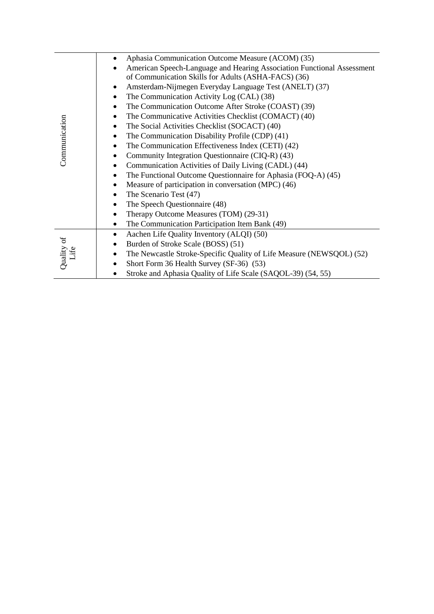|               | Aphasia Communication Outcome Measure (ACOM) (35)                                 |  |  |  |  |  |
|---------------|-----------------------------------------------------------------------------------|--|--|--|--|--|
|               | American Speech-Language and Hearing Association Functional Assessment            |  |  |  |  |  |
|               | of Communication Skills for Adults (ASHA-FACS) (36)                               |  |  |  |  |  |
|               | Amsterdam-Nijmegen Everyday Language Test (ANELT) (37)                            |  |  |  |  |  |
|               | The Communication Activity Log (CAL) (38)<br>٠                                    |  |  |  |  |  |
|               | The Communication Outcome After Stroke (COAST) (39)                               |  |  |  |  |  |
|               | The Communicative Activities Checklist (COMACT) (40)                              |  |  |  |  |  |
|               | The Social Activities Checklist (SOCACT) (40)<br>$\bullet$                        |  |  |  |  |  |
| Communication | The Communication Disability Profile (CDP) (41)<br>٠                              |  |  |  |  |  |
|               | The Communication Effectiveness Index (CETI) (42)<br>$\bullet$                    |  |  |  |  |  |
|               | Community Integration Questionnaire (CIQ-R) (43)                                  |  |  |  |  |  |
|               | Communication Activities of Daily Living (CADL) (44)<br>$\bullet$                 |  |  |  |  |  |
|               | The Functional Outcome Questionnaire for Aphasia (FOQ-A) (45)<br>٠                |  |  |  |  |  |
|               | Measure of participation in conversation (MPC) (46)<br>٠                          |  |  |  |  |  |
|               | The Scenario Test (47)<br>$\bullet$                                               |  |  |  |  |  |
|               | The Speech Questionnaire (48)<br>$\bullet$                                        |  |  |  |  |  |
|               | Therapy Outcome Measures (TOM) (29-31)                                            |  |  |  |  |  |
|               | The Communication Participation Item Bank (49)<br>$\bullet$                       |  |  |  |  |  |
|               | Aachen Life Quality Inventory (ALQI) (50)<br>$\bullet$                            |  |  |  |  |  |
|               | Burden of Stroke Scale (BOSS) (51)<br>$\bullet$                                   |  |  |  |  |  |
| Life          | The Newcastle Stroke-Specific Quality of Life Measure (NEWSQOL) (52)<br>$\bullet$ |  |  |  |  |  |
| Quality of    | Short Form 36 Health Survey (SF-36) (53)                                          |  |  |  |  |  |
|               | Stroke and Aphasia Quality of Life Scale (SAQOL-39) (54, 55)                      |  |  |  |  |  |
|               |                                                                                   |  |  |  |  |  |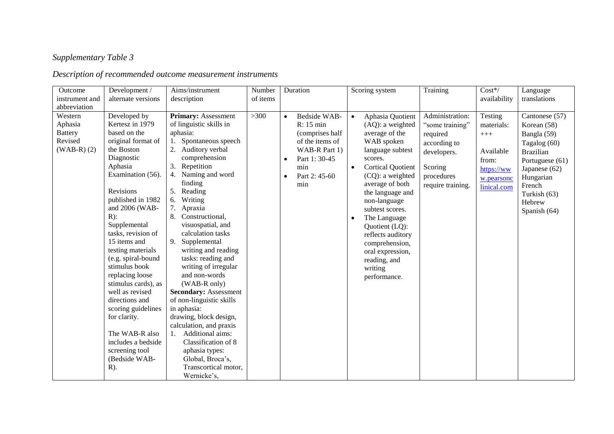# *Supplementary Table 3*

# *Description of recommended outcome measurement instruments*

| Outcome            | Development /                   | Aims/instrument                                       | Number   |           | Duration                           |           | Scoring system                          | Training                           | $\overline{\text{Cost}}$ */ | Language         |
|--------------------|---------------------------------|-------------------------------------------------------|----------|-----------|------------------------------------|-----------|-----------------------------------------|------------------------------------|-----------------------------|------------------|
| instrument and     | alternate versions              | description                                           | of items |           |                                    |           |                                         |                                    | availability                | translations     |
| abbreviation       |                                 |                                                       |          |           |                                    |           |                                         |                                    |                             |                  |
| Western<br>Aphasia | Developed by<br>Kertesz in 1979 | <b>Primary: Assessment</b><br>of linguistic skills in | >300     | $\bullet$ | Bedside WAB-<br>R: 15 min          | $\bullet$ | Aphasia Quotient<br>$(AQ)$ : a weighted | Administration:<br>"some training" | Testing                     | Cantonese (57)   |
| <b>Battery</b>     | based on the                    | aphasia:                                              |          |           |                                    |           |                                         |                                    | materials:                  | Korean (58)      |
| Revised            | original format of              | Spontaneous speech<br>1.                              |          |           | (comprises half<br>of the items of |           | average of the<br>WAB spoken            | required                           | $^{+++}$                    | Bangla (59)      |
| $(WAB-R)$ $(2)$    | the Boston                      | 2.<br>Auditory verbal                                 |          |           | WAB-R Part 1)                      |           | language subtest                        | according to                       |                             | Tagalog (60)     |
|                    | Diagnostic                      | comprehension                                         |          |           | Part 1: 30-45                      |           | scores.                                 | developers.                        | Available                   | <b>Brazilian</b> |
|                    | Aphasia                         | Repetition<br>3.                                      |          | $\bullet$ | min                                |           | <b>Cortical Quotient</b>                | Scoring                            | from:                       | Portuguese (61)  |
|                    | Examination (56).               | 4.<br>Naming and word                                 |          |           | Part 2: 45-60                      | $\bullet$ | (CQ): a weighted                        | procedures                         | https://ww                  | Japanese (62)    |
|                    |                                 | finding                                               |          | $\bullet$ | min                                |           | average of both                         |                                    | w.pearsonc                  | Hungarian        |
|                    | Revisions                       | Reading<br>5.                                         |          |           |                                    |           | the language and                        | require training.                  | linical.com                 | French           |
|                    | published in 1982               | Writing<br>6.                                         |          |           |                                    |           | non-language                            |                                    |                             | Turkish (63)     |
|                    | and 2006 (WAB-                  | 7.<br>Apraxia                                         |          |           |                                    |           | subtest scores.                         |                                    |                             | Hebrew           |
|                    | $R)$ :                          | 8.<br>Constructional,                                 |          |           |                                    |           | The Language                            |                                    |                             | Spanish (64)     |
|                    | Supplemental                    | visuospatial, and                                     |          |           |                                    |           | Quotient (LQ):                          |                                    |                             |                  |
|                    | tasks, revision of              | calculation tasks                                     |          |           |                                    |           | reflects auditory                       |                                    |                             |                  |
|                    | 15 items and                    | 9.<br>Supplemental                                    |          |           |                                    |           | comprehension,                          |                                    |                             |                  |
|                    | testing materials               | writing and reading                                   |          |           |                                    |           | oral expression,                        |                                    |                             |                  |
|                    | (e.g. spiral-bound              | tasks: reading and                                    |          |           |                                    |           | reading, and                            |                                    |                             |                  |
|                    | stimulus book                   | writing of irregular                                  |          |           |                                    |           | writing                                 |                                    |                             |                  |
|                    | replacing loose                 | and non-words                                         |          |           |                                    |           | performance.                            |                                    |                             |                  |
|                    | stimulus cards), as             | (WAB-R only)                                          |          |           |                                    |           |                                         |                                    |                             |                  |
|                    | well as revised                 | <b>Secondary: Assessment</b>                          |          |           |                                    |           |                                         |                                    |                             |                  |
|                    | directions and                  | of non-linguistic skills                              |          |           |                                    |           |                                         |                                    |                             |                  |
|                    | scoring guidelines              | in aphasia:                                           |          |           |                                    |           |                                         |                                    |                             |                  |
|                    | for clarity.                    | drawing, block design,                                |          |           |                                    |           |                                         |                                    |                             |                  |
|                    |                                 | calculation, and praxis                               |          |           |                                    |           |                                         |                                    |                             |                  |
|                    | The WAB-R also                  | Additional aims:<br>1.                                |          |           |                                    |           |                                         |                                    |                             |                  |
|                    | includes a bedside              | Classification of 8                                   |          |           |                                    |           |                                         |                                    |                             |                  |
|                    | screening tool                  | aphasia types:                                        |          |           |                                    |           |                                         |                                    |                             |                  |
|                    | (Bedside WAB-                   | Global, Broca's,                                      |          |           |                                    |           |                                         |                                    |                             |                  |
|                    | $R)$ .                          | Transcortical motor,                                  |          |           |                                    |           |                                         |                                    |                             |                  |
|                    |                                 | Wernicke's,                                           |          |           |                                    |           |                                         |                                    |                             |                  |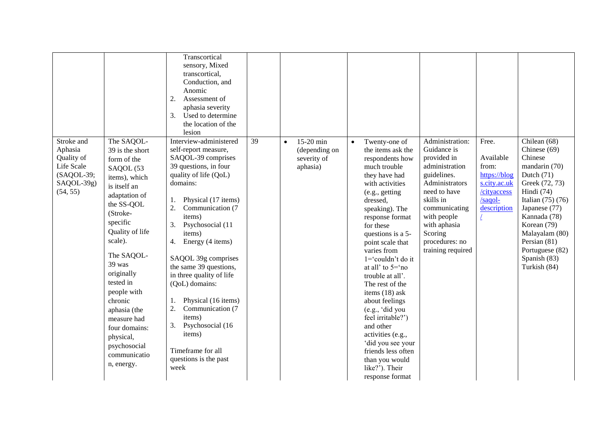|                                                                                           |                                                                                                                                                                                                                                                                                                                                                                         | Transcortical<br>sensory, Mixed<br>transcortical,<br>Conduction, and<br>Anomic<br>Assessment of<br>2.<br>aphasia severity<br>Used to determine<br>3.<br>the location of the<br>lesion                                                                                                                                                                                                                                                                                                                                       |    |           |                                                       |           |                                                                                                                                                                                                                                                                                                                                                                                                                                                                                                                                                                         |                                                                                                                                                                                                                                 |                                                                                                                    |                                                                                                                                                                                                                                                                        |
|-------------------------------------------------------------------------------------------|-------------------------------------------------------------------------------------------------------------------------------------------------------------------------------------------------------------------------------------------------------------------------------------------------------------------------------------------------------------------------|-----------------------------------------------------------------------------------------------------------------------------------------------------------------------------------------------------------------------------------------------------------------------------------------------------------------------------------------------------------------------------------------------------------------------------------------------------------------------------------------------------------------------------|----|-----------|-------------------------------------------------------|-----------|-------------------------------------------------------------------------------------------------------------------------------------------------------------------------------------------------------------------------------------------------------------------------------------------------------------------------------------------------------------------------------------------------------------------------------------------------------------------------------------------------------------------------------------------------------------------------|---------------------------------------------------------------------------------------------------------------------------------------------------------------------------------------------------------------------------------|--------------------------------------------------------------------------------------------------------------------|------------------------------------------------------------------------------------------------------------------------------------------------------------------------------------------------------------------------------------------------------------------------|
| Stroke and<br>Aphasia<br>Quality of<br>Life Scale<br>(SAQOL-39;<br>SAQOL-39g)<br>(54, 55) | The SAQOL-<br>39 is the short<br>form of the<br>SAQOL (53<br>items), which<br>is itself an<br>adaptation of<br>the SS-QOL<br>(Stroke-<br>specific<br>Quality of life<br>scale).<br>The SAQOL-<br>39 was<br>originally<br>tested in<br>people with<br>chronic<br>aphasia (the<br>measure had<br>four domains:<br>physical,<br>psychosocial<br>communicatio<br>n, energy. | Interview-administered<br>self-report measure,<br>SAQOL-39 comprises<br>39 questions, in four<br>quality of life (QoL)<br>domains:<br>Physical (17 items)<br>1.<br>2.<br>Communication (7<br>items)<br>Psychosocial (11<br>3.<br>items)<br>Energy (4 items)<br>4.<br>SAQOL 39g comprises<br>the same 39 questions,<br>in three quality of life<br>(QoL) domains:<br>Physical (16 items)<br>1.<br>2.<br>Communication (7<br>items)<br>Psychosocial (16<br>3.<br>items)<br>Timeframe for all<br>questions is the past<br>week | 39 | $\bullet$ | 15-20 min<br>(depending on<br>severity of<br>aphasia) | $\bullet$ | Twenty-one of<br>the items ask the<br>respondents how<br>much trouble<br>they have had<br>with activities<br>(e.g., getting<br>dressed,<br>speaking). The<br>response format<br>for these<br>questions is a 5-<br>point scale that<br>varies from<br>$1 = \text{couldn't do it}$<br>at all' to $5 = \text{no}$<br>trouble at all'.<br>The rest of the<br>items $(18)$ ask<br>about feelings<br>(e.g., 'did you<br>feel irritable?')<br>and other<br>activities (e.g.,<br>'did you see your<br>friends less often<br>than you would<br>like?'). Their<br>response format | Administration:<br>Guidance is<br>provided in<br>administration<br>guidelines.<br>Administrators<br>need to have<br>skills in<br>communicating<br>with people<br>with aphasia<br>Scoring<br>procedures: no<br>training required | Free.<br>Available<br>from:<br>https://blog<br>s.city.ac.uk<br>/cityaccess<br>/saqol-<br>description<br>$\sqrt{2}$ | Chilean (68)<br>Chinese (69)<br>Chinese<br>mandarin (70)<br>Dutch $(71)$<br>Greek (72, 73)<br>Hindi (74)<br>Italian $(75)$ $(76)$<br>Japanese (77)<br>Kannada (78)<br>Korean (79)<br>Malayalam (80)<br>Persian (81)<br>Portuguese (82)<br>Spanish (83)<br>Turkish (84) |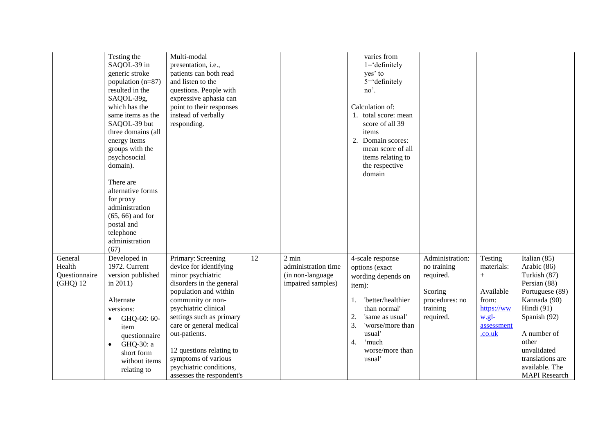|                                                | Testing the<br>SAQOL-39 in<br>generic stroke<br>population (n=87)<br>resulted in the<br>SAQOL-39g,<br>which has the<br>same items as the<br>SAQOL-39 but<br>three domains (all<br>energy items<br>groups with the<br>psychosocial<br>domain).<br>There are<br>alternative forms<br>for proxy<br>administration<br>$(65, 66)$ and for<br>postal and<br>telephone<br>administration<br>(67) | Multi-modal<br>presentation, i.e.,<br>patients can both read<br>and listen to the<br>questions. People with<br>expressive aphasia can<br>point to their responses<br>instead of verbally<br>responding.                                                                                                                                                |                 |                                                                                  | varies from<br>$1 = \text{definitely}$<br>yes' to<br>$5 = \text{definitely}$<br>no'.<br>Calculation of:<br>1. total score: mean<br>score of all 39<br>items<br>Domain scores:<br>2.<br>mean score of all<br>items relating to<br>the respective<br>domain |                                                                                                   |                                                                                                      |                                                                                                                                                                                                                                     |
|------------------------------------------------|-------------------------------------------------------------------------------------------------------------------------------------------------------------------------------------------------------------------------------------------------------------------------------------------------------------------------------------------------------------------------------------------|--------------------------------------------------------------------------------------------------------------------------------------------------------------------------------------------------------------------------------------------------------------------------------------------------------------------------------------------------------|-----------------|----------------------------------------------------------------------------------|-----------------------------------------------------------------------------------------------------------------------------------------------------------------------------------------------------------------------------------------------------------|---------------------------------------------------------------------------------------------------|------------------------------------------------------------------------------------------------------|-------------------------------------------------------------------------------------------------------------------------------------------------------------------------------------------------------------------------------------|
| General<br>Health<br>Questionnaire<br>(GHQ) 12 | Developed in<br>1972. Current<br>version published<br>in $2011$ )<br>Alternate<br>versions:<br>GHQ-60: 60-<br>$\bullet$<br>item<br>questionnaire<br>GHQ-30: a<br>$\bullet$<br>short form<br>without items<br>relating to                                                                                                                                                                  | Primary: Screening<br>device for identifying<br>minor psychiatric<br>disorders in the general<br>population and within<br>community or non-<br>psychiatric clinical<br>settings such as primary<br>care or general medical<br>out-patients.<br>12 questions relating to<br>symptoms of various<br>psychiatric conditions,<br>assesses the respondent's | $\overline{12}$ | $2 \text{ min}$<br>administration time<br>(in non-language)<br>impaired samples) | 4-scale response<br>options (exact<br>wording depends on<br>item):<br>'better/healthier<br>1.<br>than normal'<br>'same as usual'<br>2.<br>3.<br>'worse/more than<br>usual'<br>'much<br>4.<br>worse/more than<br>usual'                                    | Administration:<br>no training<br>required.<br>Scoring<br>procedures: no<br>training<br>required. | Testing<br>materials:<br>$^{+}$<br>Available<br>from:<br>https://ww<br>w.gl-<br>assessment<br>.co.uk | Italian $(85)$<br>Arabic (86)<br>Turkish (87)<br>Persian (88)<br>Portuguese (89)<br>Kannada (90)<br>Hindi (91)<br>Spanish (92)<br>A number of<br>other<br>unvalidated<br>translations are<br>available. The<br><b>MAPI</b> Research |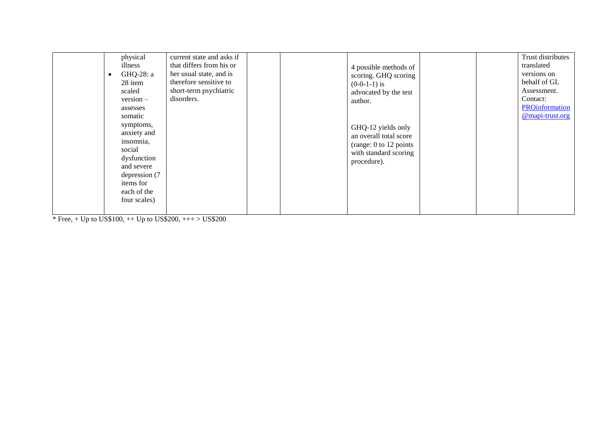|  | physical<br>illness<br>GHQ-28: a<br>28 item<br>scaled<br>$version -$<br>assesses<br>somatic<br>symptoms,<br>anxiety and<br>insomnia,<br>social<br>dysfunction<br>and severe<br>depression (7)<br>items for<br>each of the<br>four scales) | current state and asks if<br>that differs from his or<br>her usual state, and is<br>therefore sensitive to<br>short-term psychiatric<br>disorders. |  |  | 4 possible methods of<br>scoring. GHQ scoring<br>$(0-0-1-1)$ is<br>advocated by the test<br>author.<br>GHQ-12 yields only<br>an overall total score<br>(range: 0 to 12 points<br>with standard scoring<br>procedure). |  |  | Trust distributes<br>translated<br>versions on<br>behalf of GL<br>Assessment.<br>Contact:<br>PROinformation<br>@mapi-trust.org |
|--|-------------------------------------------------------------------------------------------------------------------------------------------------------------------------------------------------------------------------------------------|----------------------------------------------------------------------------------------------------------------------------------------------------|--|--|-----------------------------------------------------------------------------------------------------------------------------------------------------------------------------------------------------------------------|--|--|--------------------------------------------------------------------------------------------------------------------------------|
|--|-------------------------------------------------------------------------------------------------------------------------------------------------------------------------------------------------------------------------------------------|----------------------------------------------------------------------------------------------------------------------------------------------------|--|--|-----------------------------------------------------------------------------------------------------------------------------------------------------------------------------------------------------------------------|--|--|--------------------------------------------------------------------------------------------------------------------------------|

\* Free, + Up to US\$100, ++ Up to US\$200, +++ > US\$200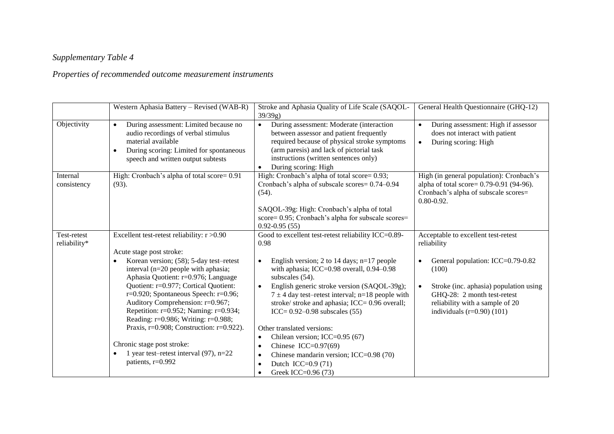# *Supplementary Table 4*

# *Properties of recommended outcome measurement instruments*

|                             | Western Aphasia Battery - Revised (WAB-R)                                                                                                                                                                                                                                                                                                                                                                                                                                                                                                                                              | Stroke and Aphasia Quality of Life Scale (SAQOL-<br>$39/39g$ )                                                                                                                                                                                                                                                                                                                                                                                                                                                                                                                                                     | General Health Questionnaire (GHQ-12)                                                                                                                                                                                                        |  |
|-----------------------------|----------------------------------------------------------------------------------------------------------------------------------------------------------------------------------------------------------------------------------------------------------------------------------------------------------------------------------------------------------------------------------------------------------------------------------------------------------------------------------------------------------------------------------------------------------------------------------------|--------------------------------------------------------------------------------------------------------------------------------------------------------------------------------------------------------------------------------------------------------------------------------------------------------------------------------------------------------------------------------------------------------------------------------------------------------------------------------------------------------------------------------------------------------------------------------------------------------------------|----------------------------------------------------------------------------------------------------------------------------------------------------------------------------------------------------------------------------------------------|--|
| Objectivity                 | During assessment: Limited because no<br>$\bullet$<br>audio recordings of verbal stimulus<br>material available<br>During scoring: Limited for spontaneous<br>$\bullet$<br>speech and written output subtests                                                                                                                                                                                                                                                                                                                                                                          | During assessment: Moderate (interaction<br>$\bullet$<br>between assessor and patient frequently<br>required because of physical stroke symptoms<br>(arm paresis) and lack of pictorial task<br>instructions (written sentences only)<br>During scoring: High                                                                                                                                                                                                                                                                                                                                                      | During assessment: High if assessor<br>$\bullet$<br>does not interact with patient<br>During scoring: High<br>$\bullet$                                                                                                                      |  |
| Internal<br>consistency     | High: Cronbach's alpha of total score= 0.91<br>$(93)$ .                                                                                                                                                                                                                                                                                                                                                                                                                                                                                                                                | High: Cronbach's alpha of total score= 0.93;<br>Cronbach's alpha of subscale scores= 0.74-0.94<br>(54).<br>SAQOL-39g: High: Cronbach's alpha of total<br>score= 0.95; Cronbach's alpha for subscale scores=<br>$0.92 - 0.95(55)$                                                                                                                                                                                                                                                                                                                                                                                   | High (in general population): Cronbach's<br>alpha of total score= 0.79-0.91 (94-96).<br>Cronbach's alpha of subscale scores=<br>$0.80 - 0.92$ .                                                                                              |  |
| Test-retest<br>reliability* | Excellent test-retest reliability: r >0.90<br>Acute stage post stroke:<br>Korean version; (58); 5-day test-retest<br>$\bullet$<br>interval (n=20 people with aphasia;<br>Aphasia Quotient: r=0.976; Language<br>Quotient: r=0.977; Cortical Quotient:<br>$r=0.920$ ; Spontaneous Speech: $r=0.96$ ;<br>Auditory Comprehension: r=0.967;<br>Repetition: r=0.952; Naming: r=0.934;<br>Reading: r=0.986; Writing: r=0.988;<br>Praxis, $r=0.908$ ; Construction: $r=0.922$ ).<br>Chronic stage post stroke:<br>1 year test-retest interval $(97)$ , n=22<br>$\bullet$<br>patients, r=0.992 | Good to excellent test-retest reliability ICC=0.89-<br>0.98<br>English version; 2 to 14 days; $n=17$ people<br>with aphasia; ICC=0.98 overall, 0.94-0.98<br>subscales (54).<br>English generic stroke version (SAQOL-39g);<br>$7 \pm 4$ day test-retest interval; n=18 people with<br>stroke/ stroke and aphasia; ICC= 0.96 overall;<br>ICC= $0.92 - 0.98$ subscales (55)<br>Other translated versions:<br>Chilean version; ICC=0.95 (67)<br>$\bullet$<br>Chinese ICC= $0.97(69)$<br>$\bullet$<br>Chinese mandarin version; ICC=0.98 (70)<br>$\bullet$<br>Dutch ICC= $0.9(71)$<br>Greek ICC=0.96 (73)<br>$\bullet$ | Acceptable to excellent test-retest<br>reliability<br>General population: ICC=0.79-0.82<br>(100)<br>Stroke (inc. aphasia) population using<br>GHQ-28: 2 month test-retest<br>reliability with a sample of 20<br>individuals $(r=0.90)$ (101) |  |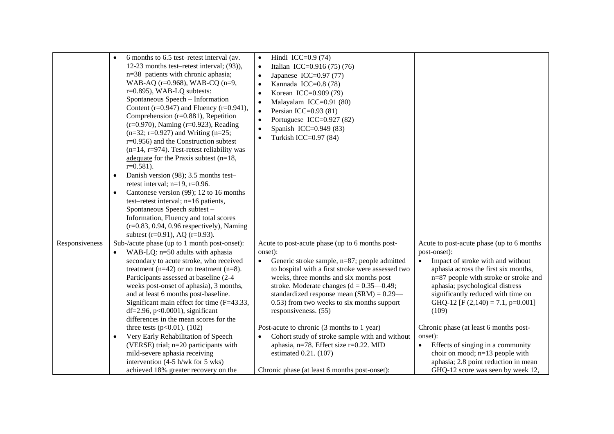|                | 6 months to 6.5 test–retest interval (av.<br>$\bullet$<br>12-23 months test-retest interval; (93)),<br>n=38 patients with chronic aphasia;<br>WAB-AQ (r=0.968), WAB-CQ (n=9,<br>$r=0.895$ ), WAB-LQ subtests:<br>Spontaneous Speech - Information<br>Content ( $r=0.947$ ) and Fluency ( $r=0.941$ ),<br>Comprehension $(r=0.881)$ , Repetition<br>$(r=0.970)$ , Naming $(r=0.923)$ , Reading<br>$(n=32; r=0.927)$ and Writing $(n=25;$<br>$r=0.956$ ) and the Construction subtest<br>$(n=14, r=974)$ . Test-retest reliability was<br>adequate for the Praxis subtest $(n=18,$<br>$r=0.581$ ).<br>Danish version (98); 3.5 months test-<br>$\bullet$<br>retest interval; $n=19$ , $r=0.96$ .<br>Cantonese version (99); 12 to 16 months<br>$\bullet$<br>test-retest interval; n=16 patients,<br>Spontaneous Speech subtest -<br>Information, Fluency and total scores<br>$(r=0.83, 0.94, 0.96$ respectively), Naming<br>subtest (r=0.91), AQ (r=0.93). | Hindi ICC=0.9 $(74)$<br>$\bullet$<br>$\bullet$<br>Italian ICC=0.916 (75) (76)<br>Japanese ICC=0.97 $(77)$<br>$\bullet$<br>Kannada ICC=0.8 (78)<br>$\bullet$<br>Korean ICC=0.909 (79)<br>$\bullet$<br>Malayalam ICC=0.91 (80)<br>$\bullet$<br>Persian ICC= $0.93(81)$<br>$\bullet$<br>Portuguese ICC=0.927 (82)<br>$\bullet$<br>Spanish ICC=0.949 (83)<br>$\bullet$<br>Turkish ICC=0.97 (84)<br>$\bullet$                                                                                                                                 |                                                                                                                                                                                                                                                                                                                                                                                                     |
|----------------|----------------------------------------------------------------------------------------------------------------------------------------------------------------------------------------------------------------------------------------------------------------------------------------------------------------------------------------------------------------------------------------------------------------------------------------------------------------------------------------------------------------------------------------------------------------------------------------------------------------------------------------------------------------------------------------------------------------------------------------------------------------------------------------------------------------------------------------------------------------------------------------------------------------------------------------------------------|------------------------------------------------------------------------------------------------------------------------------------------------------------------------------------------------------------------------------------------------------------------------------------------------------------------------------------------------------------------------------------------------------------------------------------------------------------------------------------------------------------------------------------------|-----------------------------------------------------------------------------------------------------------------------------------------------------------------------------------------------------------------------------------------------------------------------------------------------------------------------------------------------------------------------------------------------------|
| Responsiveness | Sub-/acute phase (up to 1 month post-onset):<br>WAB-LQ: n=50 adults with aphasia<br>$\bullet$<br>secondary to acute stroke, who received<br>treatment ( $n=42$ ) or no treatment ( $n=8$ ).<br>Participants assessed at baseline (2-4<br>weeks post-onset of aphasia), 3 months,<br>and at least 6 months post-baseline.<br>Significant main effect for time (F=43.33,<br>df=2.96, $p<0.0001$ ), significant<br>differences in the mean scores for the<br>three tests ( $p<0.01$ ). (102)<br>Very Early Rehabilitation of Speech<br>$\bullet$<br>(VERSE) trial; n=20 participants with                                                                                                                                                                                                                                                                                                                                                                   | Acute to post-acute phase (up to 6 months post-<br>onset):<br>Generic stroke sample, n=87; people admitted<br>$\bullet$<br>to hospital with a first stroke were assessed two<br>weeks, three months and six months post<br>stroke. Moderate changes ( $d = 0.35 - 0.49$ ;<br>standardized response mean $(SRM) = 0.29$ —<br>0.53) from two weeks to six months support<br>responsiveness. (55)<br>Post-acute to chronic (3 months to 1 year)<br>Cohort study of stroke sample with and without<br>aphasia, n=78. Effect size r=0.22. MID | Acute to post-acute phase (up to 6 months<br>post-onset):<br>Impact of stroke with and without<br>aphasia across the first six months,<br>n=87 people with stroke or stroke and<br>aphasia; psychological distress<br>significantly reduced with time on<br>GHQ-12 [F $(2,140) = 7.1$ , p=0.001]<br>(109)<br>Chronic phase (at least 6 months post-<br>onset):<br>Effects of singing in a community |
|                | mild-severe aphasia receiving<br>intervention $(4-5 \text{ h/wk}$ for 5 wks)<br>achieved 18% greater recovery on the                                                                                                                                                                                                                                                                                                                                                                                                                                                                                                                                                                                                                                                                                                                                                                                                                                     | estimated 0.21. (107)<br>Chronic phase (at least 6 months post-onset):                                                                                                                                                                                                                                                                                                                                                                                                                                                                   | choir on mood; n=13 people with<br>aphasia; 2.8 point reduction in mean<br>GHQ-12 score was seen by week 12,                                                                                                                                                                                                                                                                                        |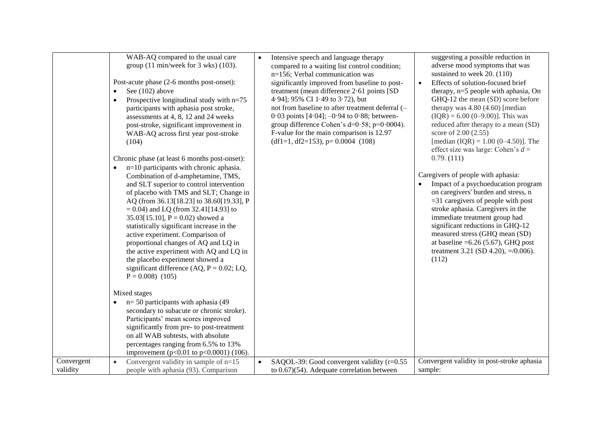|            | WAB-AQ compared to the usual care<br>group $(11 \text{ min/week} \text{ for } 3 \text{ wks})$ $(103)$ .<br>Post-acute phase (2-6 months post-onset):<br>See (102) above<br>$\bullet$<br>Prospective longitudinal study with $n=75$<br>$\bullet$<br>participants with aphasia post stroke,<br>assessments at 4, 8, 12 and 24 weeks<br>post-stroke, significant improvement in<br>WAB-AQ across first year post-stroke<br>(104)<br>Chronic phase (at least 6 months post-onset):<br>$n=10$ participants with chronic aphasia.<br>Combination of d-amphetamine, TMS,<br>and SLT superior to control intervention<br>of placebo with TMS and SLT; Change in<br>AQ (from 36.13[18.23] to 38.60[19.33], P<br>$= 0.04$ ) and LQ (from 32.41[14.93] to<br>35.03[15.10], $P = 0.02$ ) showed a<br>statistically significant increase in the<br>active experiment. Comparison of<br>proportional changes of AQ and LQ in<br>the active experiment with AQ and LQ in<br>the placebo experiment showed a<br>significant difference (AQ, $P = 0.02$ ; LQ,<br>$P = 0.008$ (105)<br>Mixed stages | $\bullet$ | Intensive speech and language therapy<br>compared to a waiting list control condition;<br>n=156; Verbal communication was<br>significantly improved from baseline to post-<br>treatment (mean difference 2.61 points [SD<br>4.94]; 95% CI 1.49 to 3.72), but<br>not from baseline to after treatment deferral (-<br>$0.03$ points [4.04]; $-0.94$ to 0.88; between-<br>group difference Cohen's $d=0.58$ ; $p=0.0004$ ).<br>F-value for the main comparison is 12.97<br>$(df1=1, df2=153), p= 0.0004 (108)$ | $\bullet$ | suggesting a possible reduction in<br>adverse mood symptoms that was<br>sustained to week 20. (110)<br>Effects of solution-focused brief<br>therapy, n=5 people with aphasia, On<br>GHQ-12 the mean (SD) score before<br>therapy was $4.80$ $(4.60)$ [median<br>$(IQR) = 6.00 (0-9.00)$ ]. This was<br>reduced after therapy to a mean (SD)<br>score of 2.00 (2.55)<br>[median $(IQR) = 1.00 (0-4.50)$ ]. The<br>effect size was large: Cohen's $d =$<br>0.79. (111)<br>Caregivers of people with aphasia:<br>Impact of a psychoeducation program<br>on caregivers' burden and stress, n<br>$=$ 31 caregivers of people with post<br>stroke aphasia. Caregivers in the<br>immediate treatment group had<br>significant reductions in GHQ-12<br>measured stress (GHQ mean (SD)<br>at baseline = $6.26$ (5.67), GHQ post<br>treatment 3.21 (SD 4.20), $=$ /0.006).<br>(112) |
|------------|-----------------------------------------------------------------------------------------------------------------------------------------------------------------------------------------------------------------------------------------------------------------------------------------------------------------------------------------------------------------------------------------------------------------------------------------------------------------------------------------------------------------------------------------------------------------------------------------------------------------------------------------------------------------------------------------------------------------------------------------------------------------------------------------------------------------------------------------------------------------------------------------------------------------------------------------------------------------------------------------------------------------------------------------------------------------------------------|-----------|-------------------------------------------------------------------------------------------------------------------------------------------------------------------------------------------------------------------------------------------------------------------------------------------------------------------------------------------------------------------------------------------------------------------------------------------------------------------------------------------------------------|-----------|---------------------------------------------------------------------------------------------------------------------------------------------------------------------------------------------------------------------------------------------------------------------------------------------------------------------------------------------------------------------------------------------------------------------------------------------------------------------------------------------------------------------------------------------------------------------------------------------------------------------------------------------------------------------------------------------------------------------------------------------------------------------------------------------------------------------------------------------------------------------------|
|            |                                                                                                                                                                                                                                                                                                                                                                                                                                                                                                                                                                                                                                                                                                                                                                                                                                                                                                                                                                                                                                                                                   |           |                                                                                                                                                                                                                                                                                                                                                                                                                                                                                                             |           |                                                                                                                                                                                                                                                                                                                                                                                                                                                                                                                                                                                                                                                                                                                                                                                                                                                                           |
|            | $n=50$ participants with aphasia (49)<br>$\bullet$<br>secondary to subacute or chronic stroke).                                                                                                                                                                                                                                                                                                                                                                                                                                                                                                                                                                                                                                                                                                                                                                                                                                                                                                                                                                                   |           |                                                                                                                                                                                                                                                                                                                                                                                                                                                                                                             |           |                                                                                                                                                                                                                                                                                                                                                                                                                                                                                                                                                                                                                                                                                                                                                                                                                                                                           |
|            | Participants' mean scores improved                                                                                                                                                                                                                                                                                                                                                                                                                                                                                                                                                                                                                                                                                                                                                                                                                                                                                                                                                                                                                                                |           |                                                                                                                                                                                                                                                                                                                                                                                                                                                                                                             |           |                                                                                                                                                                                                                                                                                                                                                                                                                                                                                                                                                                                                                                                                                                                                                                                                                                                                           |
|            | significantly from pre- to post-treatment                                                                                                                                                                                                                                                                                                                                                                                                                                                                                                                                                                                                                                                                                                                                                                                                                                                                                                                                                                                                                                         |           |                                                                                                                                                                                                                                                                                                                                                                                                                                                                                                             |           |                                                                                                                                                                                                                                                                                                                                                                                                                                                                                                                                                                                                                                                                                                                                                                                                                                                                           |
|            | on all WAB subtests, with absolute                                                                                                                                                                                                                                                                                                                                                                                                                                                                                                                                                                                                                                                                                                                                                                                                                                                                                                                                                                                                                                                |           |                                                                                                                                                                                                                                                                                                                                                                                                                                                                                                             |           |                                                                                                                                                                                                                                                                                                                                                                                                                                                                                                                                                                                                                                                                                                                                                                                                                                                                           |
|            | percentages ranging from 6.5% to 13%                                                                                                                                                                                                                                                                                                                                                                                                                                                                                                                                                                                                                                                                                                                                                                                                                                                                                                                                                                                                                                              |           |                                                                                                                                                                                                                                                                                                                                                                                                                                                                                                             |           |                                                                                                                                                                                                                                                                                                                                                                                                                                                                                                                                                                                                                                                                                                                                                                                                                                                                           |
|            | improvement ( $p<0.01$ to $p<0.0001$ ) (106).                                                                                                                                                                                                                                                                                                                                                                                                                                                                                                                                                                                                                                                                                                                                                                                                                                                                                                                                                                                                                                     |           |                                                                                                                                                                                                                                                                                                                                                                                                                                                                                                             |           |                                                                                                                                                                                                                                                                                                                                                                                                                                                                                                                                                                                                                                                                                                                                                                                                                                                                           |
| Convergent | Convergent validity in sample of $n=15$<br>$\bullet$                                                                                                                                                                                                                                                                                                                                                                                                                                                                                                                                                                                                                                                                                                                                                                                                                                                                                                                                                                                                                              | $\bullet$ | SAQOL-39: Good convergent validity (r=0.55                                                                                                                                                                                                                                                                                                                                                                                                                                                                  |           | Convergent validity in post-stroke aphasia                                                                                                                                                                                                                                                                                                                                                                                                                                                                                                                                                                                                                                                                                                                                                                                                                                |
| validity   | people with aphasia (93). Comparison                                                                                                                                                                                                                                                                                                                                                                                                                                                                                                                                                                                                                                                                                                                                                                                                                                                                                                                                                                                                                                              |           | to $0.67$ ) $(54)$ . Adequate correlation between                                                                                                                                                                                                                                                                                                                                                                                                                                                           |           | sample:                                                                                                                                                                                                                                                                                                                                                                                                                                                                                                                                                                                                                                                                                                                                                                                                                                                                   |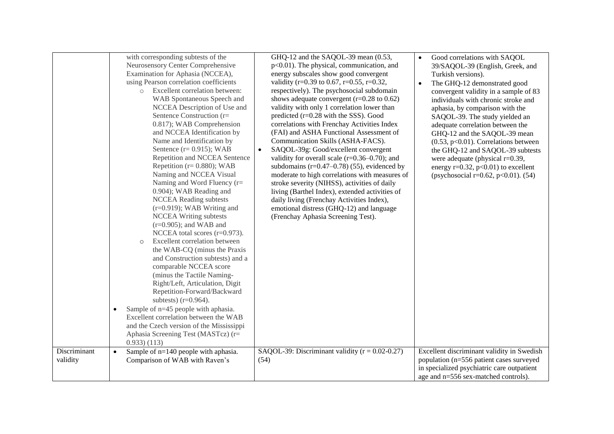| Discriminant | with corresponding subtests of the<br>Neurosensory Center Comprehensive<br>Examination for Aphasia (NCCEA),<br>using Pearson correlation coefficients<br>Excellent correlation between:<br>$\circ$<br>WAB Spontaneous Speech and<br>NCCEA Description of Use and<br>Sentence Construction (r=<br>0.817); WAB Comprehension<br>and NCCEA Identification by<br>Name and Identification by<br>Sentence $(r=0.915)$ ; WAB<br>Repetition and NCCEA Sentence<br>Repetition ( $r = 0.880$ ); WAB<br>Naming and NCCEA Visual<br>Naming and Word Fluency $(r=$<br>0.904); WAB Reading and<br><b>NCCEA Reading subtests</b><br>$(r=0.919)$ ; WAB Writing and<br><b>NCCEA Writing subtests</b><br>$(r=0.905)$ ; and WAB and<br>NCCEA total scores $(r=0.973)$ .<br>Excellent correlation between<br>$\circ$<br>the WAB-CQ (minus the Praxis<br>and Construction subtests) and a<br>comparable NCCEA score<br>(minus the Tactile Naming-<br>Right/Left, Articulation, Digit<br>Repetition-Forward/Backward<br>subtests) $(r=0.964)$ .<br>Sample of n=45 people with aphasia.<br>$\bullet$<br>Excellent correlation between the WAB<br>and the Czech version of the Mississippi<br>Aphasia Screening Test (MASTcz) (r=<br>$(0.933)$ $(113)$<br>Sample of $n=140$ people with aphasia.<br>$\bullet$ | GHQ-12 and the SAQOL-39 mean (0.53,<br>$p<0.01$ ). The physical, communication, and<br>energy subscales show good convergent<br>validity (r=0.39 to 0.67, r=0.55, r=0.32,<br>respectively). The psychosocial subdomain<br>shows adequate convergent $(r=0.28 \text{ to } 0.62)$<br>validity with only 1 correlation lower than<br>predicted $(r=0.28$ with the SSS). Good<br>correlations with Frenchay Activities Index<br>(FAI) and ASHA Functional Assessment of<br>Communication Skills (ASHA-FACS).<br>SAQOL-39g: Good/excellent convergent<br>$\bullet$<br>validity for overall scale $(r=0.36-0.70)$ ; and<br>subdomains $(r=0.47-0.78)$ (55), evidenced by<br>moderate to high correlations with measures of<br>stroke severity (NIHSS), activities of daily<br>living (Barthel Index), extended activities of<br>daily living (Frenchay Activities Index),<br>emotional distress (GHQ-12) and language<br>(Frenchay Aphasia Screening Test).<br>SAQOL-39: Discriminant validity $(r = 0.02 - 0.27)$ | Good correlations with SAQOL<br>$\bullet$<br>39/SAQOL-39 (English, Greek, and<br>Turkish versions).<br>The GHQ-12 demonstrated good<br>$\bullet$<br>convergent validity in a sample of 83<br>individuals with chronic stroke and<br>aphasia, by comparison with the<br>SAQOL-39. The study yielded an<br>adequate correlation between the<br>GHQ-12 and the SAQOL-39 mean<br>$(0.53, p<0.01)$ . Correlations between<br>the GHQ-12 and SAQOL-39 subtests<br>were adequate (physical $r=0.39$ ,<br>energy $r=0.32$ , $p<0.01$ ) to excellent<br>(psychosocial r=0.62, p<0.01). $(54)$<br>Excellent discriminant validity in Swedish |
|--------------|---------------------------------------------------------------------------------------------------------------------------------------------------------------------------------------------------------------------------------------------------------------------------------------------------------------------------------------------------------------------------------------------------------------------------------------------------------------------------------------------------------------------------------------------------------------------------------------------------------------------------------------------------------------------------------------------------------------------------------------------------------------------------------------------------------------------------------------------------------------------------------------------------------------------------------------------------------------------------------------------------------------------------------------------------------------------------------------------------------------------------------------------------------------------------------------------------------------------------------------------------------------------------------------|--------------------------------------------------------------------------------------------------------------------------------------------------------------------------------------------------------------------------------------------------------------------------------------------------------------------------------------------------------------------------------------------------------------------------------------------------------------------------------------------------------------------------------------------------------------------------------------------------------------------------------------------------------------------------------------------------------------------------------------------------------------------------------------------------------------------------------------------------------------------------------------------------------------------------------------------------------------------------------------------------------------|------------------------------------------------------------------------------------------------------------------------------------------------------------------------------------------------------------------------------------------------------------------------------------------------------------------------------------------------------------------------------------------------------------------------------------------------------------------------------------------------------------------------------------------------------------------------------------------------------------------------------------|
| validity     | Comparison of WAB with Raven's                                                                                                                                                                                                                                                                                                                                                                                                                                                                                                                                                                                                                                                                                                                                                                                                                                                                                                                                                                                                                                                                                                                                                                                                                                                        | (54)                                                                                                                                                                                                                                                                                                                                                                                                                                                                                                                                                                                                                                                                                                                                                                                                                                                                                                                                                                                                         | population (n=556 patient cases surveyed<br>in specialized psychiatric care outpatient<br>age and n=556 sex-matched controls).                                                                                                                                                                                                                                                                                                                                                                                                                                                                                                     |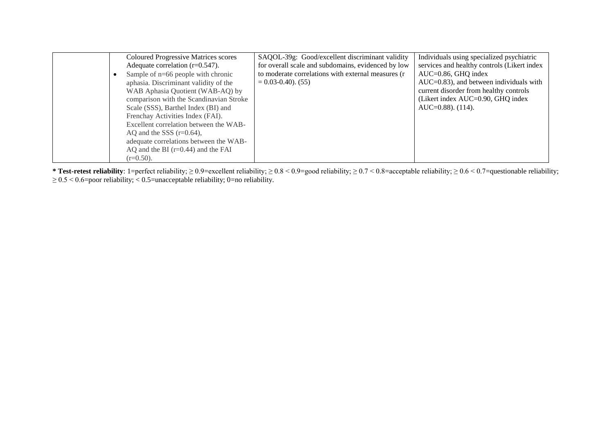| <b>Coloured Progressive Matrices scores</b> | SAQOL-39g: Good/excellent discriminant validity    | Individuals using specialized psychiatric   |
|---------------------------------------------|----------------------------------------------------|---------------------------------------------|
| Adequate correlation $(r=0.547)$ .          | for overall scale and subdomains, evidenced by low | services and healthy controls (Likert index |
| Sample of $n=66$ people with chronic        | to moderate correlations with external measures (r | $AUC=0.86$ , GHQ index                      |
| aphasia. Discriminant validity of the       | $= 0.03 - 0.40$ . (55)                             | $AUC=0.83$ , and between individuals with   |
| WAB Aphasia Quotient (WAB-AQ) by            |                                                    | current disorder from healthy controls      |
| comparison with the Scandinavian Stroke     |                                                    | (Likert index AUC=0.90, GHQ index           |
| Scale (SSS), Barthel Index (BI) and         |                                                    | $AUC=0.88$ ). $(114)$ .                     |
| Frenchay Activities Index (FAI).            |                                                    |                                             |
| Excellent correlation between the WAB-      |                                                    |                                             |
| AQ and the SSS $(r=0.64)$ ,                 |                                                    |                                             |
| adequate correlations between the WAB-      |                                                    |                                             |
| AQ and the BI $(r=0.44)$ and the FAI        |                                                    |                                             |
| $(r=0.50)$ .                                |                                                    |                                             |

**\* Test-retest reliability**: 1=perfect reliability; ≥ 0.9=excellent reliability; ≥ 0.8 < 0.9=good reliability; ≥ 0.7 < 0.8=acceptable reliability; ≥ 0.6 < 0.7=questionable reliability;  $\geq 0.5 \leq 0.6$ =poor reliability;  $< 0.5$ =unacceptable reliability; 0=no reliability.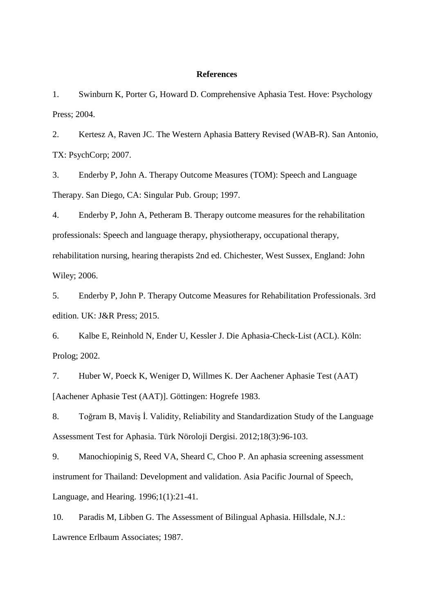#### **References**

1. Swinburn K, Porter G, Howard D. Comprehensive Aphasia Test. Hove: Psychology Press; 2004.

2. Kertesz A, Raven JC. The Western Aphasia Battery Revised (WAB-R). San Antonio, TX: PsychCorp; 2007.

3. Enderby P, John A. Therapy Outcome Measures (TOM): Speech and Language Therapy. San Diego, CA: Singular Pub. Group; 1997.

4. Enderby P, John A, Petheram B. Therapy outcome measures for the rehabilitation professionals: Speech and language therapy, physiotherapy, occupational therapy, rehabilitation nursing, hearing therapists 2nd ed. Chichester, West Sussex, England: John Wiley; 2006.

5. Enderby P, John P. Therapy Outcome Measures for Rehabilitation Professionals. 3rd edition. UK: J&R Press; 2015.

6. Kalbe E, Reinhold N, Ender U, Kessler J. Die Aphasia-Check-List (ACL). Köln: Prolog; 2002.

7. Huber W, Poeck K, Weniger D, Willmes K. Der Aachener Aphasie Test (AAT) [Aachener Aphasie Test (AAT)]. Göttingen: Hogrefe 1983.

8. Toğram B, Maviş İ. Validity, Reliability and Standardization Study of the Language Assessment Test for Aphasia. Türk Nöroloji Dergisi. 2012;18(3):96-103.

9. Manochiopinig S, Reed VA, Sheard C, Choo P. An aphasia screening assessment instrument for Thailand: Development and validation. Asia Pacific Journal of Speech, Language, and Hearing. 1996;1(1):21-41.

10. Paradis M, Libben G. The Assessment of Bilingual Aphasia. Hillsdale, N.J.: Lawrence Erlbaum Associates; 1987.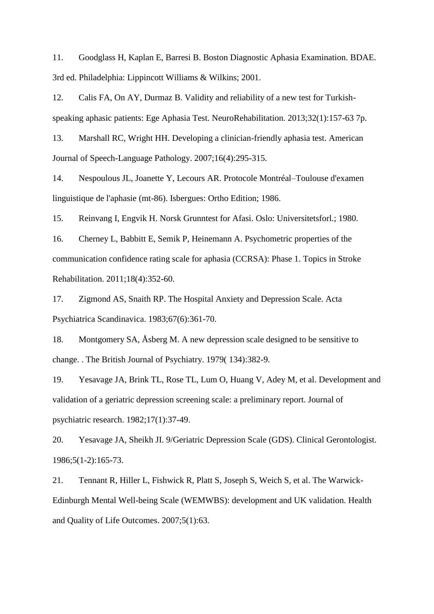11. Goodglass H, Kaplan E, Barresi B. Boston Diagnostic Aphasia Examination. BDAE. 3rd ed. Philadelphia: Lippincott Williams & Wilkins; 2001.

12. Calis FA, On AY, Durmaz B. Validity and reliability of a new test for Turkishspeaking aphasic patients: Ege Aphasia Test. NeuroRehabilitation. 2013;32(1):157-63 7p.

13. Marshall RC, Wright HH. Developing a clinician-friendly aphasia test. American Journal of Speech-Language Pathology. 2007;16(4):295-315.

14. Nespoulous JL, Joanette Y, Lecours AR. Protocole Montréal–Toulouse d'examen linguistique de l'aphasie (mt-86). Isbergues: Ortho Edition; 1986.

15. Reinvang I, Engvik H. Norsk Grunntest for Afasi. Oslo: Universitetsforl.; 1980.

16. Cherney L, Babbitt E, Semik P, Heinemann A. Psychometric properties of the communication confidence rating scale for aphasia (CCRSA): Phase 1. Topics in Stroke Rehabilitation. 2011;18(4):352-60.

17. Zigmond AS, Snaith RP. The Hospital Anxiety and Depression Scale. Acta Psychiatrica Scandinavica. 1983;67(6):361-70.

18. Montgomery SA, Åsberg M. A new depression scale designed to be sensitive to change. . The British Journal of Psychiatry. 1979( 134):382-9.

19. Yesavage JA, Brink TL, Rose TL, Lum O, Huang V, Adey M, et al. Development and validation of a geriatric depression screening scale: a preliminary report. Journal of psychiatric research. 1982;17(1):37-49.

20. Yesavage JA, Sheikh JI. 9/Geriatric Depression Scale (GDS). Clinical Gerontologist. 1986;5(1-2):165-73.

21. Tennant R, Hiller L, Fishwick R, Platt S, Joseph S, Weich S, et al. The Warwick-Edinburgh Mental Well-being Scale (WEMWBS): development and UK validation. Health and Quality of Life Outcomes. 2007;5(1):63.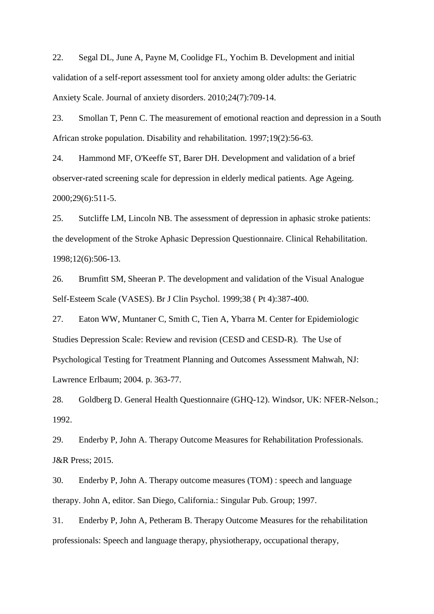22. Segal DL, June A, Payne M, Coolidge FL, Yochim B. Development and initial validation of a self-report assessment tool for anxiety among older adults: the Geriatric Anxiety Scale. Journal of anxiety disorders. 2010;24(7):709-14.

23. Smollan T, Penn C. The measurement of emotional reaction and depression in a South African stroke population. Disability and rehabilitation. 1997;19(2):56-63.

24. Hammond MF, O'Keeffe ST, Barer DH. Development and validation of a brief observer-rated screening scale for depression in elderly medical patients. Age Ageing. 2000;29(6):511-5.

25. Sutcliffe LM, Lincoln NB. The assessment of depression in aphasic stroke patients: the development of the Stroke Aphasic Depression Questionnaire. Clinical Rehabilitation. 1998;12(6):506-13.

26. Brumfitt SM, Sheeran P. The development and validation of the Visual Analogue Self-Esteem Scale (VASES). Br J Clin Psychol. 1999;38 ( Pt 4):387-400.

27. Eaton WW, Muntaner C, Smith C, Tien A, Ybarra M. Center for Epidemiologic Studies Depression Scale: Review and revision (CESD and CESD-R). The Use of Psychological Testing for Treatment Planning and Outcomes Assessment Mahwah, NJ: Lawrence Erlbaum; 2004. p. 363-77.

28. Goldberg D. General Health Questionnaire (GHQ-12). Windsor, UK: NFER-Nelson.; 1992.

29. Enderby P, John A. Therapy Outcome Measures for Rehabilitation Professionals. J&R Press; 2015.

30. Enderby P, John A. Therapy outcome measures (TOM) : speech and language therapy. John A, editor. San Diego, California.: Singular Pub. Group; 1997.

31. Enderby P, John A, Petheram B. Therapy Outcome Measures for the rehabilitation professionals: Speech and language therapy, physiotherapy, occupational therapy,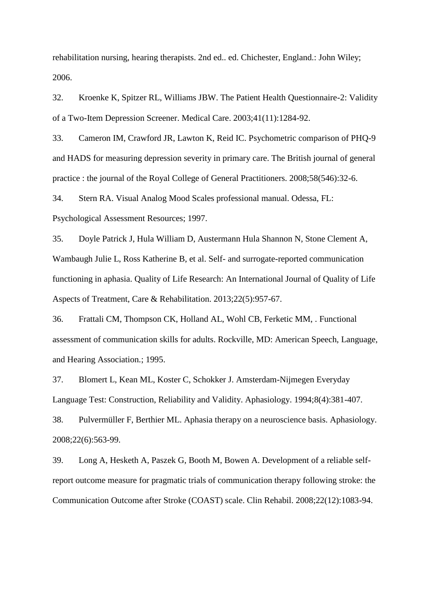rehabilitation nursing, hearing therapists. 2nd ed.. ed. Chichester, England.: John Wiley; 2006.

32. Kroenke K, Spitzer RL, Williams JBW. The Patient Health Questionnaire-2: Validity of a Two-Item Depression Screener. Medical Care. 2003;41(11):1284-92.

33. Cameron IM, Crawford JR, Lawton K, Reid IC. Psychometric comparison of PHQ-9 and HADS for measuring depression severity in primary care. The British journal of general practice : the journal of the Royal College of General Practitioners. 2008;58(546):32-6.

34. Stern RA. Visual Analog Mood Scales professional manual. Odessa, FL: Psychological Assessment Resources; 1997.

35. Doyle Patrick J, Hula William D, Austermann Hula Shannon N, Stone Clement A, Wambaugh Julie L, Ross Katherine B, et al. Self- and surrogate-reported communication functioning in aphasia. Quality of Life Research: An International Journal of Quality of Life Aspects of Treatment, Care & Rehabilitation. 2013;22(5):957-67.

36. Frattali CM, Thompson CK, Holland AL, Wohl CB, Ferketic MM, . Functional assessment of communication skills for adults. Rockville, MD: American Speech, Language, and Hearing Association.; 1995.

37. Blomert L, Kean ML, Koster C, Schokker J. Amsterdam-Nijmegen Everyday Language Test: Construction, Reliability and Validity. Aphasiology. 1994;8(4):381-407.

38. Pulvermüller F, Berthier ML. Aphasia therapy on a neuroscience basis. Aphasiology. 2008;22(6):563-99.

39. Long A, Hesketh A, Paszek G, Booth M, Bowen A. Development of a reliable selfreport outcome measure for pragmatic trials of communication therapy following stroke: the Communication Outcome after Stroke (COAST) scale. Clin Rehabil. 2008;22(12):1083-94.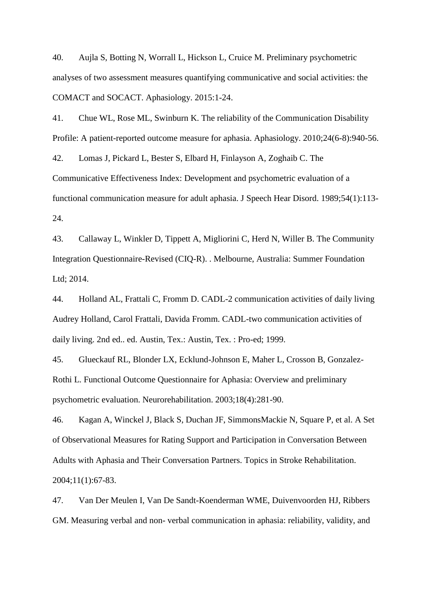40. Aujla S, Botting N, Worrall L, Hickson L, Cruice M. Preliminary psychometric analyses of two assessment measures quantifying communicative and social activities: the COMACT and SOCACT. Aphasiology. 2015:1-24.

41. Chue WL, Rose ML, Swinburn K. The reliability of the Communication Disability Profile: A patient-reported outcome measure for aphasia. Aphasiology. 2010;24(6-8):940-56.

42. Lomas J, Pickard L, Bester S, Elbard H, Finlayson A, Zoghaib C. The Communicative Effectiveness Index: Development and psychometric evaluation of a functional communication measure for adult aphasia. J Speech Hear Disord. 1989;54(1):113- 24.

43. Callaway L, Winkler D, Tippett A, Migliorini C, Herd N, Willer B. The Community Integration Questionnaire-Revised (CIQ-R). . Melbourne, Australia: Summer Foundation Ltd; 2014.

44. Holland AL, Frattali C, Fromm D. CADL-2 communication activities of daily living Audrey Holland, Carol Frattali, Davida Fromm. CADL-two communication activities of daily living. 2nd ed.. ed. Austin, Tex.: Austin, Tex. : Pro-ed; 1999.

45. Glueckauf RL, Blonder LX, Ecklund-Johnson E, Maher L, Crosson B, Gonzalez-Rothi L. Functional Outcome Questionnaire for Aphasia: Overview and preliminary psychometric evaluation. Neurorehabilitation. 2003;18(4):281-90.

46. Kagan A, Winckel J, Black S, Duchan JF, SimmonsMackie N, Square P, et al. A Set of Observational Measures for Rating Support and Participation in Conversation Between Adults with Aphasia and Their Conversation Partners. Topics in Stroke Rehabilitation. 2004;11(1):67-83.

47. Van Der Meulen I, Van De Sandt-Koenderman WME, Duivenvoorden HJ, Ribbers GM. Measuring verbal and non- verbal communication in aphasia: reliability, validity, and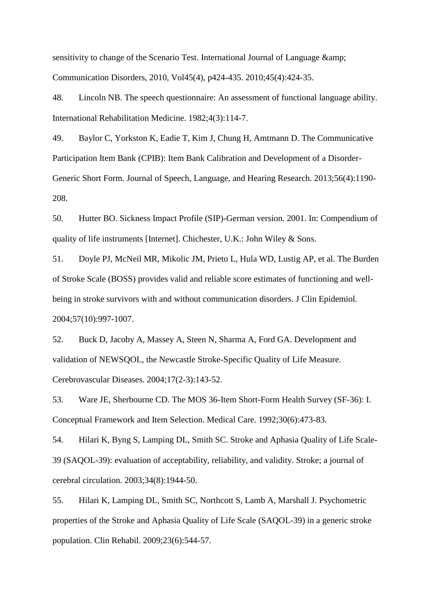sensitivity to change of the Scenario Test. International Journal of Language  $\&$ amp; Communication Disorders, 2010, Vol45(4), p424-435. 2010;45(4):424-35.

48. Lincoln NB. The speech questionnaire: An assessment of functional language ability. International Rehabilitation Medicine. 1982;4(3):114-7.

49. Baylor C, Yorkston K, Eadie T, Kim J, Chung H, Amtmann D. The Communicative Participation Item Bank (CPIB): Item Bank Calibration and Development of a Disorder-Generic Short Form. Journal of Speech, Language, and Hearing Research. 2013;56(4):1190- 208.

50. Hutter BO. Sickness Impact Profile (SIP)-German version. 2001. In: Compendium of quality of life instruments [Internet]. Chichester, U.K.: John Wiley & Sons.

51. Doyle PJ, McNeil MR, Mikolic JM, Prieto L, Hula WD, Lustig AP, et al. The Burden of Stroke Scale (BOSS) provides valid and reliable score estimates of functioning and wellbeing in stroke survivors with and without communication disorders. J Clin Epidemiol. 2004;57(10):997-1007.

52. Buck D, Jacoby A, Massey A, Steen N, Sharma A, Ford GA. Development and validation of NEWSQOL, the Newcastle Stroke-Specific Quality of Life Measure. Cerebrovascular Diseases. 2004;17(2-3):143-52.

53. Ware JE, Sherbourne CD. The MOS 36-Item Short-Form Health Survey (SF-36): I. Conceptual Framework and Item Selection. Medical Care. 1992;30(6):473-83.

54. Hilari K, Byng S, Lamping DL, Smith SC. Stroke and Aphasia Quality of Life Scale-39 (SAQOL-39): evaluation of acceptability, reliability, and validity. Stroke; a journal of cerebral circulation. 2003;34(8):1944-50.

55. Hilari K, Lamping DL, Smith SC, Northcott S, Lamb A, Marshall J. Psychometric properties of the Stroke and Aphasia Quality of Life Scale (SAQOL-39) in a generic stroke population. Clin Rehabil. 2009;23(6):544-57.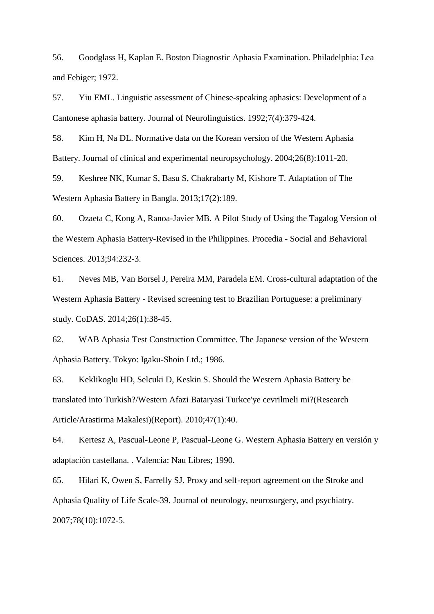56. Goodglass H, Kaplan E. Boston Diagnostic Aphasia Examination. Philadelphia: Lea and Febiger; 1972.

57. Yiu EML. Linguistic assessment of Chinese-speaking aphasics: Development of a Cantonese aphasia battery. Journal of Neurolinguistics. 1992;7(4):379-424.

58. Kim H, Na DL. Normative data on the Korean version of the Western Aphasia Battery. Journal of clinical and experimental neuropsychology. 2004;26(8):1011-20.

59. Keshree NK, Kumar S, Basu S, Chakrabarty M, Kishore T. Adaptation of The Western Aphasia Battery in Bangla. 2013;17(2):189.

60. Ozaeta C, Kong A, Ranoa-Javier MB. A Pilot Study of Using the Tagalog Version of the Western Aphasia Battery-Revised in the Philippines. Procedia - Social and Behavioral Sciences. 2013;94:232-3.

61. Neves MB, Van Borsel J, Pereira MM, Paradela EM. Cross-cultural adaptation of the Western Aphasia Battery - Revised screening test to Brazilian Portuguese: a preliminary study. CoDAS. 2014;26(1):38-45.

62. WAB Aphasia Test Construction Committee. The Japanese version of the Western Aphasia Battery. Tokyo: Igaku-Shoin Ltd.; 1986.

63. Keklikoglu HD, Selcuki D, Keskin S. Should the Western Aphasia Battery be translated into Turkish?/Western Afazi Bataryasi Turkce'ye cevrilmeli mi?(Research Article/Arastirma Makalesi)(Report). 2010;47(1):40.

64. Kertesz A, Pascual-Leone P, Pascual-Leone G. Western Aphasia Battery en versión y adaptación castellana. . Valencia: Nau Libres; 1990.

65. Hilari K, Owen S, Farrelly SJ. Proxy and self-report agreement on the Stroke and Aphasia Quality of Life Scale-39. Journal of neurology, neurosurgery, and psychiatry. 2007;78(10):1072-5.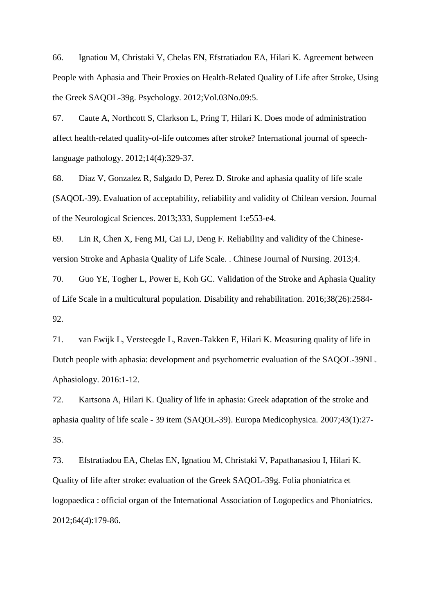66. Ignatiou M, Christaki V, Chelas EN, Efstratiadou EA, Hilari K. Agreement between People with Aphasia and Their Proxies on Health-Related Quality of Life after Stroke, Using the Greek SAQOL-39g. Psychology. 2012;Vol.03No.09:5.

67. Caute A, Northcott S, Clarkson L, Pring T, Hilari K. Does mode of administration affect health-related quality-of-life outcomes after stroke? International journal of speechlanguage pathology. 2012;14(4):329-37.

68. Diaz V, Gonzalez R, Salgado D, Perez D. Stroke and aphasia quality of life scale (SAQOL-39). Evaluation of acceptability, reliability and validity of Chilean version. Journal of the Neurological Sciences. 2013;333, Supplement 1:e553-e4.

69. Lin R, Chen X, Feng MI, Cai LJ, Deng F. Reliability and validity of the Chineseversion Stroke and Aphasia Quality of Life Scale. . Chinese Journal of Nursing. 2013;4.

70. Guo YE, Togher L, Power E, Koh GC. Validation of the Stroke and Aphasia Quality of Life Scale in a multicultural population. Disability and rehabilitation. 2016;38(26):2584- 92.

71. van Ewijk L, Versteegde L, Raven-Takken E, Hilari K. Measuring quality of life in Dutch people with aphasia: development and psychometric evaluation of the SAQOL-39NL. Aphasiology. 2016:1-12.

72. Kartsona A, Hilari K. Quality of life in aphasia: Greek adaptation of the stroke and aphasia quality of life scale - 39 item (SAQOL-39). Europa Medicophysica. 2007;43(1):27- 35.

73. Efstratiadou EA, Chelas EN, Ignatiou M, Christaki V, Papathanasiou I, Hilari K. Quality of life after stroke: evaluation of the Greek SAQOL-39g. Folia phoniatrica et logopaedica : official organ of the International Association of Logopedics and Phoniatrics. 2012;64(4):179-86.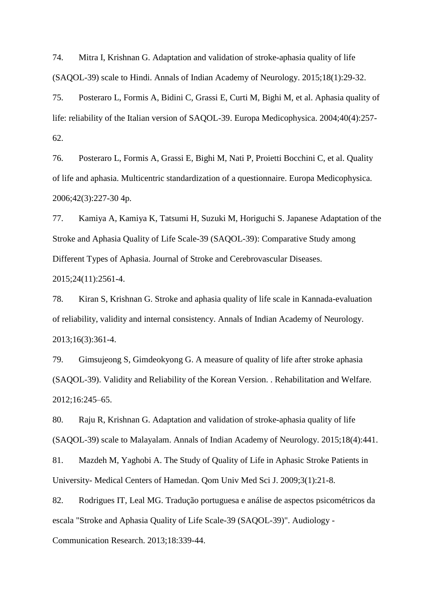74. Mitra I, Krishnan G. Adaptation and validation of stroke-aphasia quality of life (SAQOL-39) scale to Hindi. Annals of Indian Academy of Neurology. 2015;18(1):29-32.

75. Posteraro L, Formis A, Bidini C, Grassi E, Curti M, Bighi M, et al. Aphasia quality of life: reliability of the Italian version of SAQOL-39. Europa Medicophysica. 2004;40(4):257- 62.

76. Posteraro L, Formis A, Grassi E, Bighi M, Nati P, Proietti Bocchini C, et al. Quality of life and aphasia. Multicentric standardization of a questionnaire. Europa Medicophysica. 2006;42(3):227-30 4p.

77. Kamiya A, Kamiya K, Tatsumi H, Suzuki M, Horiguchi S. Japanese Adaptation of the Stroke and Aphasia Quality of Life Scale-39 (SAQOL-39): Comparative Study among Different Types of Aphasia. Journal of Stroke and Cerebrovascular Diseases. 2015;24(11):2561-4.

78. Kiran S, Krishnan G. Stroke and aphasia quality of life scale in Kannada-evaluation of reliability, validity and internal consistency. Annals of Indian Academy of Neurology. 2013;16(3):361-4.

79. Gimsujeong S, Gimdeokyong G. A measure of quality of life after stroke aphasia (SAQOL-39). Validity and Reliability of the Korean Version. . Rehabilitation and Welfare. 2012;16:245–65.

80. Raju R, Krishnan G. Adaptation and validation of stroke-aphasia quality of life (SAQOL-39) scale to Malayalam. Annals of Indian Academy of Neurology. 2015;18(4):441.

81. Mazdeh M, Yaghobi A. The Study of Quality of Life in Aphasic Stroke Patients in University- Medical Centers of Hamedan. Qom Univ Med Sci J. 2009;3(1):21-8.

82. Rodrigues IT, Leal MG. Tradução portuguesa e análise de aspectos psicométricos da escala "Stroke and Aphasia Quality of Life Scale-39 (SAQOL-39)". Audiology - Communication Research. 2013;18:339-44.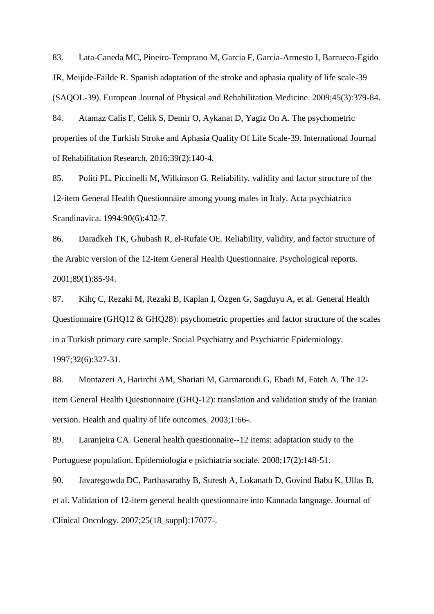83. Lata-Caneda MC, Pineiro-Temprano M, Garcia F, Garcia-Armesto I, Barrueco-Egido JR, Meijide-Failde R. Spanish adaptation of the stroke and aphasia quality of life scale-39 (SAQOL-39). European Journal of Physical and Rehabilitation Medicine. 2009;45(3):379-84.

84. Atamaz Calis F, Celik S, Demir O, Aykanat D, Yagiz On A. The psychometric properties of the Turkish Stroke and Aphasia Quality Of Life Scale-39. International Journal of Rehabilitation Research. 2016;39(2):140-4.

85. Politi PL, Piccinelli M, Wilkinson G. Reliability, validity and factor structure of the 12-item General Health Questionnaire among young males in Italy. Acta psychiatrica Scandinavica. 1994;90(6):432-7.

86. Daradkeh TK, Ghubash R, el-Rufaie OE. Reliability, validity, and factor structure of the Arabic version of the 12-item General Health Questionnaire. Psychological reports. 2001;89(1):85-94.

87. Kihç C, Rezaki M, Rezaki B, Kaplan I, Özgen G, Sagduyu A, et al. General Health Questionnaire (GHQ12 & GHQ28): psychometric properties and factor structure of the scales in a Turkish primary care sample. Social Psychiatry and Psychiatric Epidemiology. 1997;32(6):327-31.

88. Montazeri A, Harirchi AM, Shariati M, Garmaroudi G, Ebadi M, Fateh A. The 12 item General Health Questionnaire (GHQ-12): translation and validation study of the Iranian version. Health and quality of life outcomes. 2003;1:66-.

89. Laranjeira CA. General health questionnaire--12 items: adaptation study to the Portuguese population. Epidemiologia e psichiatria sociale. 2008;17(2):148-51.

90. Javaregowda DC, Parthasarathy B, Suresh A, Lokanath D, Govind Babu K, Ullas B, et al. Validation of 12-item general health questionnaire into Kannada language. Journal of Clinical Oncology. 2007;25(18\_suppl):17077-.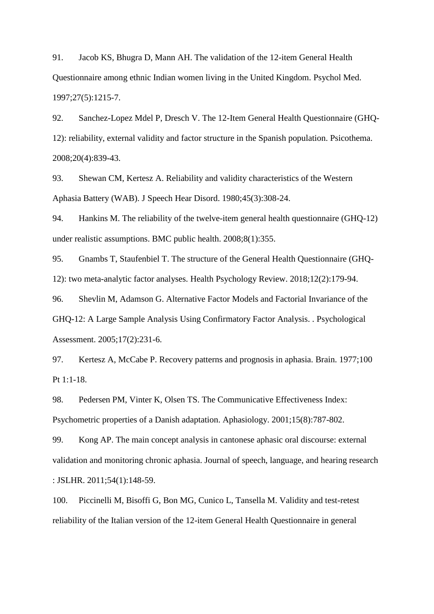91. Jacob KS, Bhugra D, Mann AH. The validation of the 12-item General Health Questionnaire among ethnic Indian women living in the United Kingdom. Psychol Med. 1997;27(5):1215-7.

92. Sanchez-Lopez Mdel P, Dresch V. The 12-Item General Health Questionnaire (GHQ-12): reliability, external validity and factor structure in the Spanish population. Psicothema. 2008;20(4):839-43.

93. Shewan CM, Kertesz A. Reliability and validity characteristics of the Western Aphasia Battery (WAB). J Speech Hear Disord. 1980;45(3):308-24.

94. Hankins M. The reliability of the twelve-item general health questionnaire (GHQ-12) under realistic assumptions. BMC public health. 2008;8(1):355.

95. Gnambs T, Staufenbiel T. The structure of the General Health Questionnaire (GHQ-12): two meta-analytic factor analyses. Health Psychology Review. 2018;12(2):179-94.

96. Shevlin M, Adamson G. Alternative Factor Models and Factorial Invariance of the GHQ-12: A Large Sample Analysis Using Confirmatory Factor Analysis. . Psychological Assessment. 2005;17(2):231-6.

97. Kertesz A, McCabe P. Recovery patterns and prognosis in aphasia. Brain. 1977;100 Pt 1:1-18.

98. Pedersen PM, Vinter K, Olsen TS. The Communicative Effectiveness Index: Psychometric properties of a Danish adaptation. Aphasiology. 2001;15(8):787-802.

99. Kong AP. The main concept analysis in cantonese aphasic oral discourse: external validation and monitoring chronic aphasia. Journal of speech, language, and hearing research : JSLHR. 2011;54(1):148-59.

100. Piccinelli M, Bisoffi G, Bon MG, Cunico L, Tansella M. Validity and test-retest reliability of the Italian version of the 12-item General Health Questionnaire in general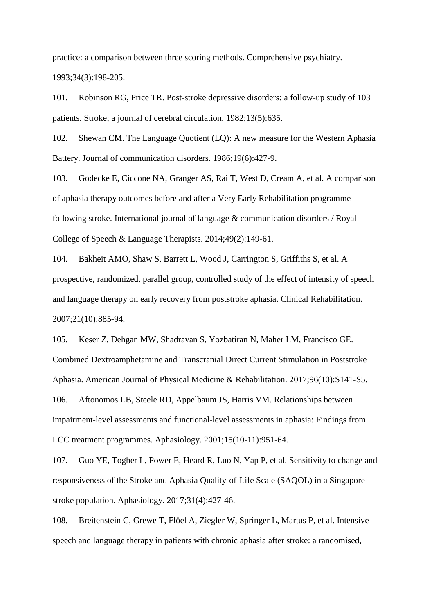practice: a comparison between three scoring methods. Comprehensive psychiatry. 1993;34(3):198-205.

101. Robinson RG, Price TR. Post-stroke depressive disorders: a follow-up study of 103 patients. Stroke; a journal of cerebral circulation. 1982;13(5):635.

102. Shewan CM. The Language Quotient (LQ): A new measure for the Western Aphasia Battery. Journal of communication disorders. 1986;19(6):427-9.

103. Godecke E, Ciccone NA, Granger AS, Rai T, West D, Cream A, et al. A comparison of aphasia therapy outcomes before and after a Very Early Rehabilitation programme following stroke. International journal of language & communication disorders / Royal College of Speech & Language Therapists. 2014;49(2):149-61.

104. Bakheit AMO, Shaw S, Barrett L, Wood J, Carrington S, Griffiths S, et al. A prospective, randomized, parallel group, controlled study of the effect of intensity of speech and language therapy on early recovery from poststroke aphasia. Clinical Rehabilitation. 2007;21(10):885-94.

105. Keser Z, Dehgan MW, Shadravan S, Yozbatiran N, Maher LM, Francisco GE. Combined Dextroamphetamine and Transcranial Direct Current Stimulation in Poststroke Aphasia. American Journal of Physical Medicine & Rehabilitation. 2017;96(10):S141-S5. 106. Aftonomos LB, Steele RD, Appelbaum JS, Harris VM. Relationships between impairment-level assessments and functional-level assessments in aphasia: Findings from LCC treatment programmes. Aphasiology. 2001;15(10-11):951-64.

107. Guo YE, Togher L, Power E, Heard R, Luo N, Yap P, et al. Sensitivity to change and responsiveness of the Stroke and Aphasia Quality-of-Life Scale (SAQOL) in a Singapore stroke population. Aphasiology. 2017;31(4):427-46.

108. Breitenstein C, Grewe T, Flöel A, Ziegler W, Springer L, Martus P, et al. Intensive speech and language therapy in patients with chronic aphasia after stroke: a randomised,